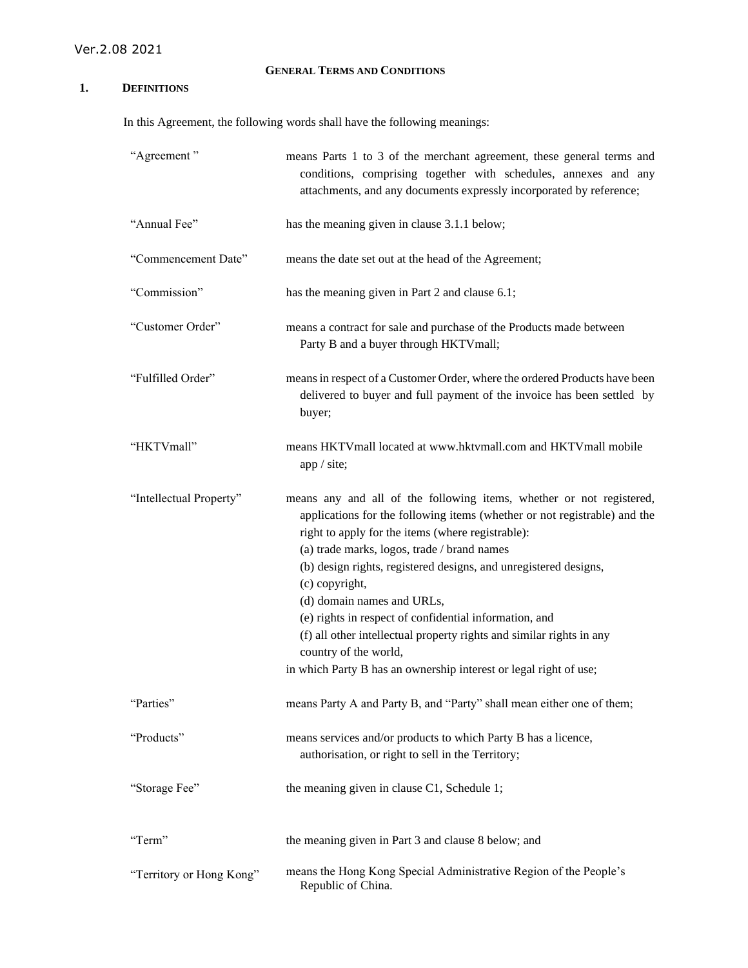# **GENERAL TERMS AND CONDITIONS**

# **1. DEFINITIONS**

In this Agreement, the following words shall have the following meanings:

| "Agreement"              | means Parts 1 to 3 of the merchant agreement, these general terms and<br>conditions, comprising together with schedules, annexes and any<br>attachments, and any documents expressly incorporated by reference;                                                                                                                                                                                                                                                                                                                                                                                           |
|--------------------------|-----------------------------------------------------------------------------------------------------------------------------------------------------------------------------------------------------------------------------------------------------------------------------------------------------------------------------------------------------------------------------------------------------------------------------------------------------------------------------------------------------------------------------------------------------------------------------------------------------------|
| "Annual Fee"             | has the meaning given in clause 3.1.1 below;                                                                                                                                                                                                                                                                                                                                                                                                                                                                                                                                                              |
| "Commencement Date"      | means the date set out at the head of the Agreement;                                                                                                                                                                                                                                                                                                                                                                                                                                                                                                                                                      |
| "Commission"             | has the meaning given in Part 2 and clause 6.1;                                                                                                                                                                                                                                                                                                                                                                                                                                                                                                                                                           |
| "Customer Order"         | means a contract for sale and purchase of the Products made between<br>Party B and a buyer through HKTVmall;                                                                                                                                                                                                                                                                                                                                                                                                                                                                                              |
| "Fulfilled Order"        | means in respect of a Customer Order, where the ordered Products have been<br>delivered to buyer and full payment of the invoice has been settled by<br>buyer;                                                                                                                                                                                                                                                                                                                                                                                                                                            |
| "HKTVmall"               | means HKTVmall located at www.hktvmall.com and HKTVmall mobile<br>app / site;                                                                                                                                                                                                                                                                                                                                                                                                                                                                                                                             |
| "Intellectual Property"  | means any and all of the following items, whether or not registered,<br>applications for the following items (whether or not registrable) and the<br>right to apply for the items (where registrable):<br>(a) trade marks, logos, trade / brand names<br>(b) design rights, registered designs, and unregistered designs,<br>(c) copyright,<br>(d) domain names and URLs,<br>(e) rights in respect of confidential information, and<br>(f) all other intellectual property rights and similar rights in any<br>country of the world,<br>in which Party B has an ownership interest or legal right of use; |
| "Parties"                | means Party A and Party B, and "Party" shall mean either one of them;                                                                                                                                                                                                                                                                                                                                                                                                                                                                                                                                     |
| "Products"               | means services and/or products to which Party B has a licence,<br>authorisation, or right to sell in the Territory;                                                                                                                                                                                                                                                                                                                                                                                                                                                                                       |
| "Storage Fee"            | the meaning given in clause C1, Schedule 1;                                                                                                                                                                                                                                                                                                                                                                                                                                                                                                                                                               |
| "Term"                   | the meaning given in Part 3 and clause 8 below; and                                                                                                                                                                                                                                                                                                                                                                                                                                                                                                                                                       |
| "Territory or Hong Kong" | means the Hong Kong Special Administrative Region of the People's<br>Republic of China.                                                                                                                                                                                                                                                                                                                                                                                                                                                                                                                   |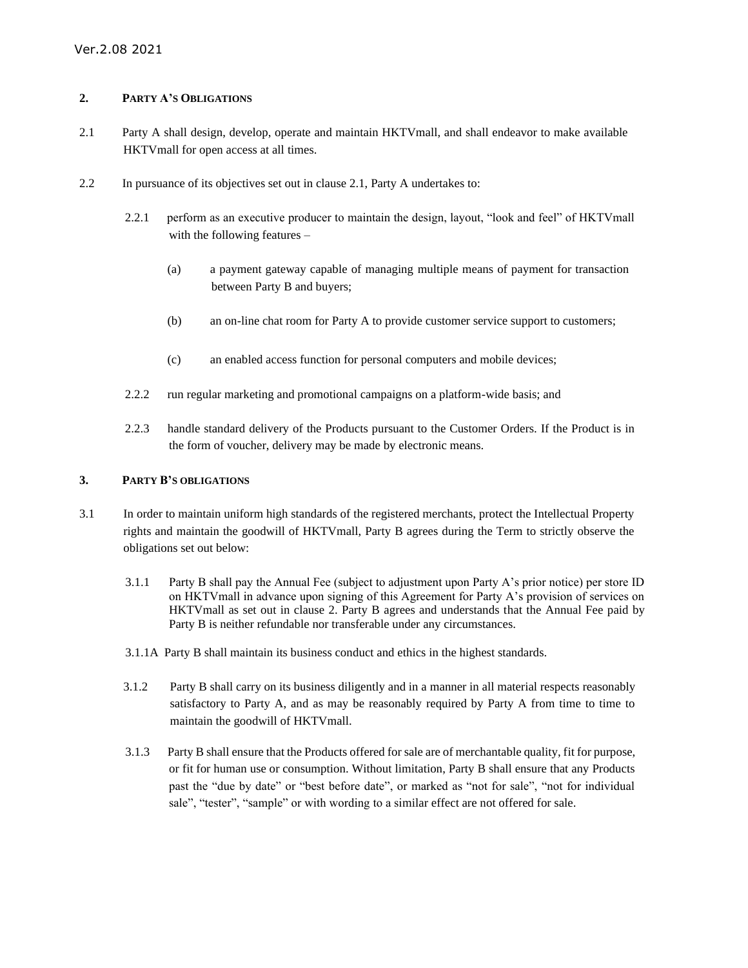## **2. PARTY A'S OBLIGATIONS**

- 2.1 Party A shall design, develop, operate and maintain HKTVmall, and shall endeavor to make available HKTVmall for open access at all times.
- 2.2 In pursuance of its objectives set out in clause 2.1, Party A undertakes to:
	- 2.2.1 perform as an executive producer to maintain the design, layout, "look and feel" of HKTVmall with the following features –
		- (a) a payment gateway capable of managing multiple means of payment for transaction between Party B and buyers;
		- (b) an on-line chat room for Party A to provide customer service support to customers;
		- (c) an enabled access function for personal computers and mobile devices;
	- 2.2.2 run regular marketing and promotional campaigns on a platform-wide basis; and
	- 2.2.3 handle standard delivery of the Products pursuant to the Customer Orders. If the Product is in the form of voucher, delivery may be made by electronic means.

## **3. PARTY B'S OBLIGATIONS**

- 3.1 In order to maintain uniform high standards of the registered merchants, protect the Intellectual Property rights and maintain the goodwill of HKTVmall, Party B agrees during the Term to strictly observe the obligations set out below:
	- 3.1.1 Party B shall pay the Annual Fee (subject to adjustment upon Party A's prior notice) per store ID on HKTVmall in advance upon signing of this Agreement for Party A's provision of services on HKTVmall as set out in clause 2. Party B agrees and understands that the Annual Fee paid by Party B is neither refundable nor transferable under any circumstances.
	- 3.1.1A Party B shall maintain its business conduct and ethics in the highest standards.
	- 3.1.2 Party B shall carry on its business diligently and in a manner in all material respects reasonably satisfactory to Party A, and as may be reasonably required by Party A from time to time to maintain the goodwill of HKTVmall.
	- 3.1.3 Party B shall ensure that the Products offered for sale are of merchantable quality, fit for purpose, or fit for human use or consumption. Without limitation, Party B shall ensure that any Products past the "due by date" or "best before date", or marked as "not for sale", "not for individual sale", "tester", "sample" or with wording to a similar effect are not offered for sale.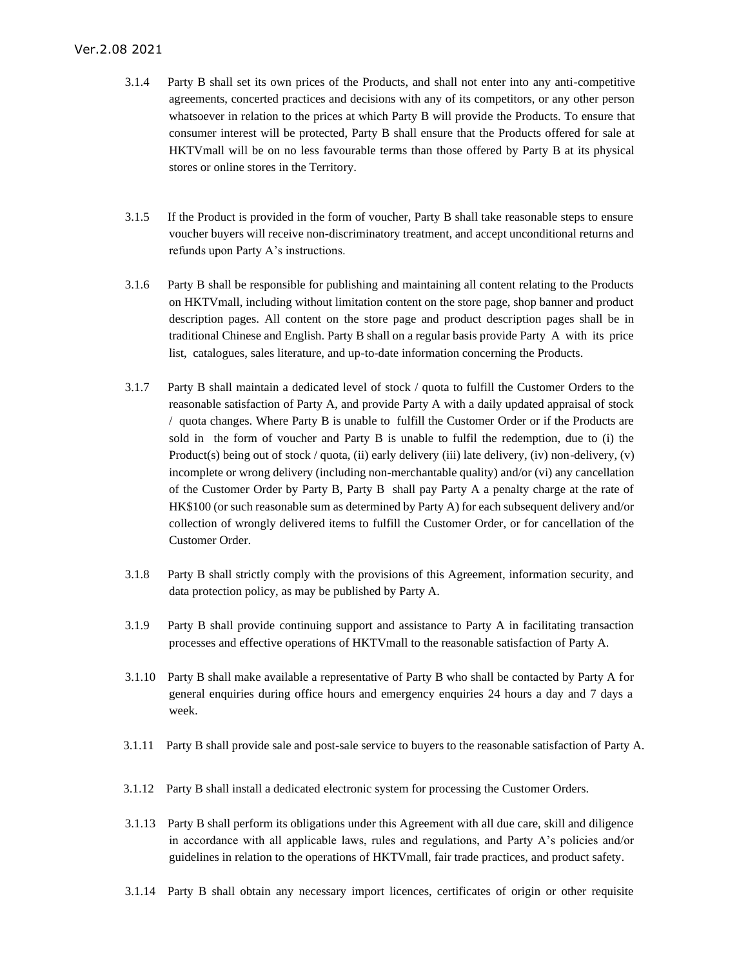- 3.1.4 Party B shall set its own prices of the Products, and shall not enter into any anti-competitive agreements, concerted practices and decisions with any of its competitors, or any other person whatsoever in relation to the prices at which Party B will provide the Products. To ensure that consumer interest will be protected, Party B shall ensure that the Products offered for sale at HKTVmall will be on no less favourable terms than those offered by Party B at its physical stores or online stores in the Territory.
- 3.1.5 If the Product is provided in the form of voucher, Party B shall take reasonable steps to ensure voucher buyers will receive non-discriminatory treatment, and accept unconditional returns and refunds upon Party A's instructions.
- 3.1.6 Party B shall be responsible for publishing and maintaining all content relating to the Products on HKTVmall, including without limitation content on the store page, shop banner and product description pages. All content on the store page and product description pages shall be in traditional Chinese and English. Party B shall on a regular basis provide Party A with its price list, catalogues, sales literature, and up-to-date information concerning the Products.
- 3.1.7 Party B shall maintain a dedicated level of stock / quota to fulfill the Customer Orders to the reasonable satisfaction of Party A, and provide Party A with a daily updated appraisal of stock / quota changes. Where Party B is unable to fulfill the Customer Order or if the Products are sold in the form of voucher and Party B is unable to fulfil the redemption, due to (i) the Product(s) being out of stock / quota, (ii) early delivery (iii) late delivery, (iv) non-delivery, (v) incomplete or wrong delivery (including non-merchantable quality) and/or (vi) any cancellation of the Customer Order by Party B, Party B shall pay Party A a penalty charge at the rate of HK\$100 (or such reasonable sum as determined by Party A) for each subsequent delivery and/or collection of wrongly delivered items to fulfill the Customer Order, or for cancellation of the Customer Order.
- 3.1.8 Party B shall strictly comply with the provisions of this Agreement, information security, and data protection policy, as may be published by Party A.
- 3.1.9 Party B shall provide continuing support and assistance to Party A in facilitating transaction processes and effective operations of HKTVmall to the reasonable satisfaction of Party A.
- 3.1.10 Party B shall make available a representative of Party B who shall be contacted by Party A for general enquiries during office hours and emergency enquiries 24 hours a day and 7 days a week.
- 3.1.11 Party B shall provide sale and post-sale service to buyers to the reasonable satisfaction of Party A.
- 3.1.12 Party B shall install a dedicated electronic system for processing the Customer Orders.
- 3.1.13 Party B shall perform its obligations under this Agreement with all due care, skill and diligence in accordance with all applicable laws, rules and regulations, and Party A's policies and/or guidelines in relation to the operations of HKTVmall, fair trade practices, and product safety.
- 3.1.14 Party B shall obtain any necessary import licences, certificates of origin or other requisite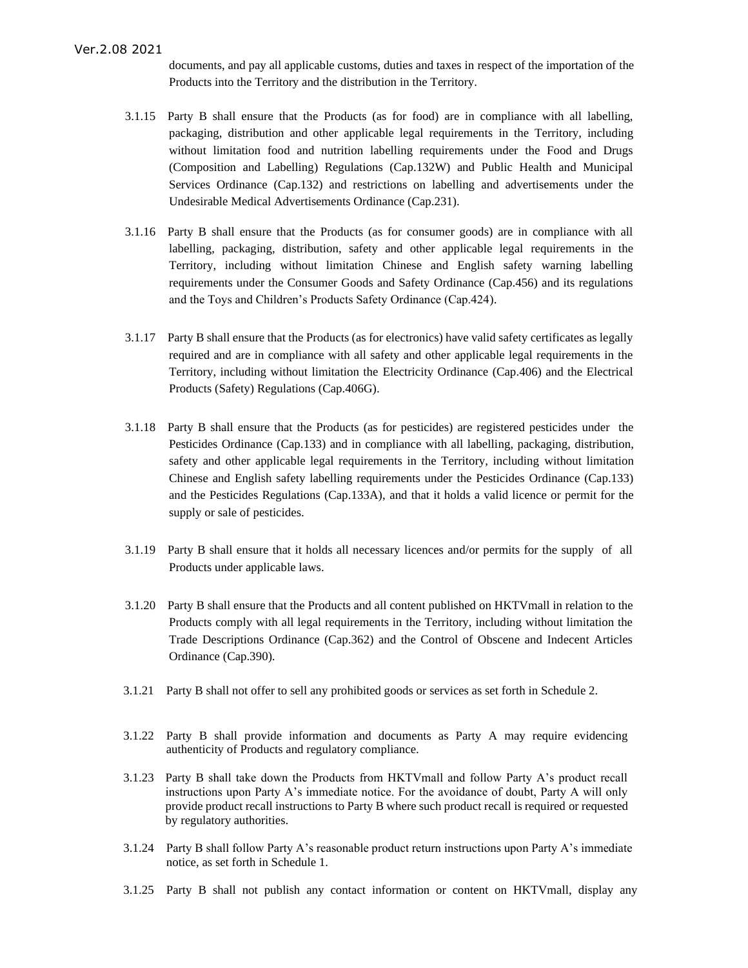documents, and pay all applicable customs, duties and taxes in respect of the importation of the Products into the Territory and the distribution in the Territory.

- 3.1.15 Party B shall ensure that the Products (as for food) are in compliance with all labelling, packaging, distribution and other applicable legal requirements in the Territory, including without limitation food and nutrition labelling requirements under the Food and Drugs (Composition and Labelling) Regulations (Cap.132W) and Public Health and Municipal Services Ordinance (Cap.132) and restrictions on labelling and advertisements under the Undesirable Medical Advertisements Ordinance (Cap.231).
- 3.1.16 Party B shall ensure that the Products (as for consumer goods) are in compliance with all labelling, packaging, distribution, safety and other applicable legal requirements in the Territory, including without limitation Chinese and English safety warning labelling requirements under the Consumer Goods and Safety Ordinance (Cap.456) and its regulations and the Toys and Children's Products Safety Ordinance (Cap.424).
- 3.1.17 Party B shall ensure that the Products (as for electronics) have valid safety certificates as legally required and are in compliance with all safety and other applicable legal requirements in the Territory, including without limitation the Electricity Ordinance (Cap.406) and the Electrical Products (Safety) Regulations (Cap.406G).
- 3.1.18 Party B shall ensure that the Products (as for pesticides) are registered pesticides under the Pesticides Ordinance (Cap.133) and in compliance with all labelling, packaging, distribution, safety and other applicable legal requirements in the Territory, including without limitation Chinese and English safety labelling requirements under the Pesticides Ordinance (Cap.133) and the Pesticides Regulations (Cap.133A), and that it holds a valid licence or permit for the supply or sale of pesticides.
- 3.1.19 Party B shall ensure that it holds all necessary licences and/or permits for the supply of all Products under applicable laws.
- 3.1.20 Party B shall ensure that the Products and all content published on HKTVmall in relation to the Products comply with all legal requirements in the Territory, including without limitation the Trade Descriptions Ordinance (Cap.362) and the Control of Obscene and Indecent Articles Ordinance (Cap.390).
- 3.1.21 Party B shall not offer to sell any prohibited goods or services as set forth in Schedule 2.
- 3.1.22 Party B shall provide information and documents as Party A may require evidencing authenticity of Products and regulatory compliance.
- 3.1.23 Party B shall take down the Products from HKTVmall and follow Party A's product recall instructions upon Party A's immediate notice. For the avoidance of doubt, Party A will only provide product recall instructions to Party B where such product recall is required or requested by regulatory authorities.
- 3.1.24 Party B shall follow Party A's reasonable product return instructions upon Party A's immediate notice, as set forth in Schedule 1.
- 3.1.25 Party B shall not publish any contact information or content on HKTVmall, display any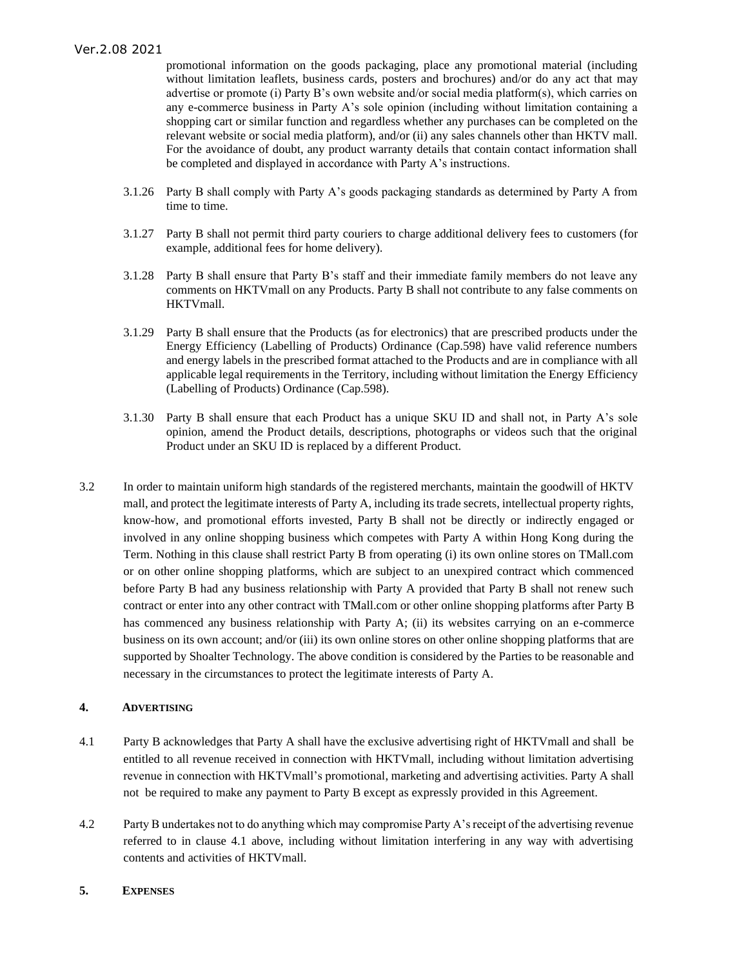promotional information on the goods packaging, place any promotional material (including without limitation leaflets, business cards, posters and brochures) and/or do any act that may advertise or promote (i) Party B's own website and/or social media platform(s), which carries on any e-commerce business in Party A's sole opinion (including without limitation containing a shopping cart or similar function and regardless whether any purchases can be completed on the relevant website or social media platform), and/or (ii) any sales channels other than HKTV mall. For the avoidance of doubt, any product warranty details that contain contact information shall be completed and displayed in accordance with Party A's instructions.

- 3.1.26 Party B shall comply with Party A's goods packaging standards as determined by Party A from time to time.
- 3.1.27 Party B shall not permit third party couriers to charge additional delivery fees to customers (for example, additional fees for home delivery).
- 3.1.28 Party B shall ensure that Party B's staff and their immediate family members do not leave any comments on HKTVmall on any Products. Party B shall not contribute to any false comments on HKTVmall.
- 3.1.29 Party B shall ensure that the Products (as for electronics) that are prescribed products under the Energy Efficiency (Labelling of Products) Ordinance (Cap.598) have valid reference numbers and energy labels in the prescribed format attached to the Products and are in compliance with all applicable legal requirements in the Territory, including without limitation the Energy Efficiency (Labelling of Products) Ordinance (Cap.598).
- 3.1.30 Party B shall ensure that each Product has a unique SKU ID and shall not, in Party A's sole opinion, amend the Product details, descriptions, photographs or videos such that the original Product under an SKU ID is replaced by a different Product.
- 3.2 In order to maintain uniform high standards of the registered merchants, maintain the goodwill of HKTV mall, and protect the legitimate interests of Party A, including its trade secrets, intellectual property rights, know-how, and promotional efforts invested, Party B shall not be directly or indirectly engaged or involved in any online shopping business which competes with Party A within Hong Kong during the Term. Nothing in this clause shall restrict Party B from operating (i) its own online stores on TMall.com or on other online shopping platforms, which are subject to an unexpired contract which commenced before Party B had any business relationship with Party A provided that Party B shall not renew such contract or enter into any other contract with TMall.com or other online shopping platforms after Party B has commenced any business relationship with Party A; (ii) its websites carrying on an e-commerce business on its own account; and/or (iii) its own online stores on other online shopping platforms that are supported by Shoalter Technology. The above condition is considered by the Parties to be reasonable and necessary in the circumstances to protect the legitimate interests of Party A.

#### **4. ADVERTISING**

- 4.1 Party B acknowledges that Party A shall have the exclusive advertising right of HKTVmall and shall be entitled to all revenue received in connection with HKTVmall, including without limitation advertising revenue in connection with HKTVmall's promotional, marketing and advertising activities. Party A shall not be required to make any payment to Party B except as expressly provided in this Agreement.
- 4.2 Party B undertakes not to do anything which may compromise Party A's receipt of the advertising revenue referred to in clause 4.1 above, including without limitation interfering in any way with advertising contents and activities of HKTVmall.

#### **5. EXPENSES**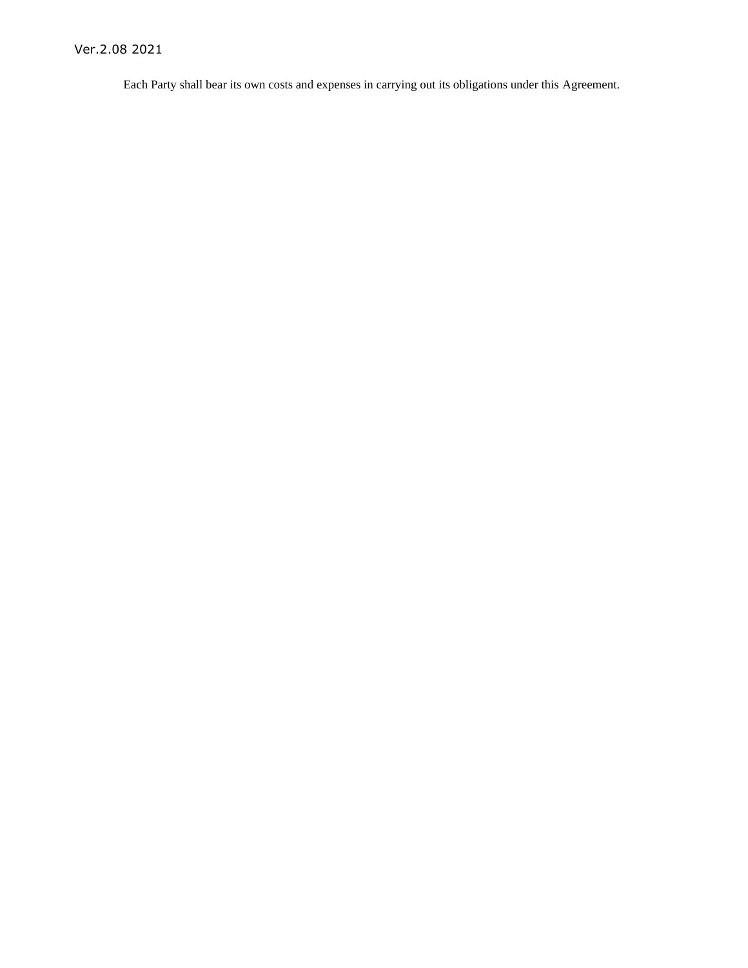Each Party shall bear its own costs and expenses in carrying out its obligations under this Agreement.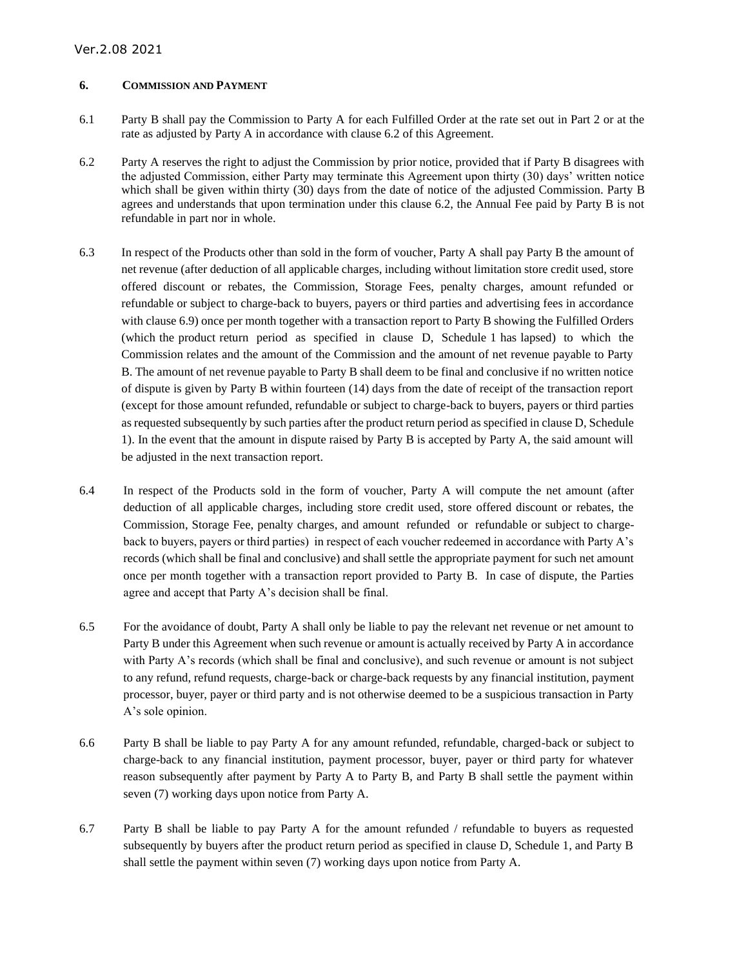#### **6. COMMISSION AND PAYMENT**

- 6.1 Party B shall pay the Commission to Party A for each Fulfilled Order at the rate set out in Part 2 or at the rate as adjusted by Party A in accordance with clause 6.2 of this Agreement.
- 6.2 Party A reserves the right to adjust the Commission by prior notice, provided that if Party B disagrees with the adjusted Commission, either Party may terminate this Agreement upon thirty (30) days' written notice which shall be given within thirty (30) days from the date of notice of the adjusted Commission. Party B agrees and understands that upon termination under this clause 6.2, the Annual Fee paid by Party B is not refundable in part nor in whole.
- 6.3 In respect of the Products other than sold in the form of voucher, Party A shall pay Party B the amount of net revenue (after deduction of all applicable charges, including without limitation store credit used, store offered discount or rebates, the Commission, Storage Fees, penalty charges, amount refunded or refundable or subject to charge-back to buyers, payers or third parties and advertising fees in accordance with clause 6.9) once per month together with a transaction report to Party B showing the Fulfilled Orders (which the product return period as specified in clause D, Schedule 1 has lapsed) to which the Commission relates and the amount of the Commission and the amount of net revenue payable to Party B. The amount of net revenue payable to Party B shall deem to be final and conclusive if no written notice of dispute is given by Party B within fourteen (14) days from the date of receipt of the transaction report (except for those amount refunded, refundable or subject to charge-back to buyers, payers or third parties as requested subsequently by such parties after the product return period as specified in clause D, Schedule 1). In the event that the amount in dispute raised by Party B is accepted by Party A, the said amount will be adjusted in the next transaction report.
- 6.4 In respect of the Products sold in the form of voucher, Party A will compute the net amount (after deduction of all applicable charges, including store credit used, store offered discount or rebates, the Commission, Storage Fee, penalty charges, and amount refunded or refundable or subject to chargeback to buyers, payers or third parties) in respect of each voucher redeemed in accordance with Party A's records (which shall be final and conclusive) and shall settle the appropriate payment for such net amount once per month together with a transaction report provided to Party B. In case of dispute, the Parties agree and accept that Party A's decision shall be final.
- 6.5 For the avoidance of doubt, Party A shall only be liable to pay the relevant net revenue or net amount to Party B under this Agreement when such revenue or amount is actually received by Party A in accordance with Party A's records (which shall be final and conclusive), and such revenue or amount is not subject to any refund, refund requests, charge-back or charge-back requests by any financial institution, payment processor, buyer, payer or third party and is not otherwise deemed to be a suspicious transaction in Party A's sole opinion.
- 6.6 Party B shall be liable to pay Party A for any amount refunded, refundable, charged-back or subject to charge-back to any financial institution, payment processor, buyer, payer or third party for whatever reason subsequently after payment by Party A to Party B, and Party B shall settle the payment within seven (7) working days upon notice from Party A.
- 6.7 Party B shall be liable to pay Party A for the amount refunded / refundable to buyers as requested subsequently by buyers after the product return period as specified in clause D, Schedule 1, and Party B shall settle the payment within seven (7) working days upon notice from Party A.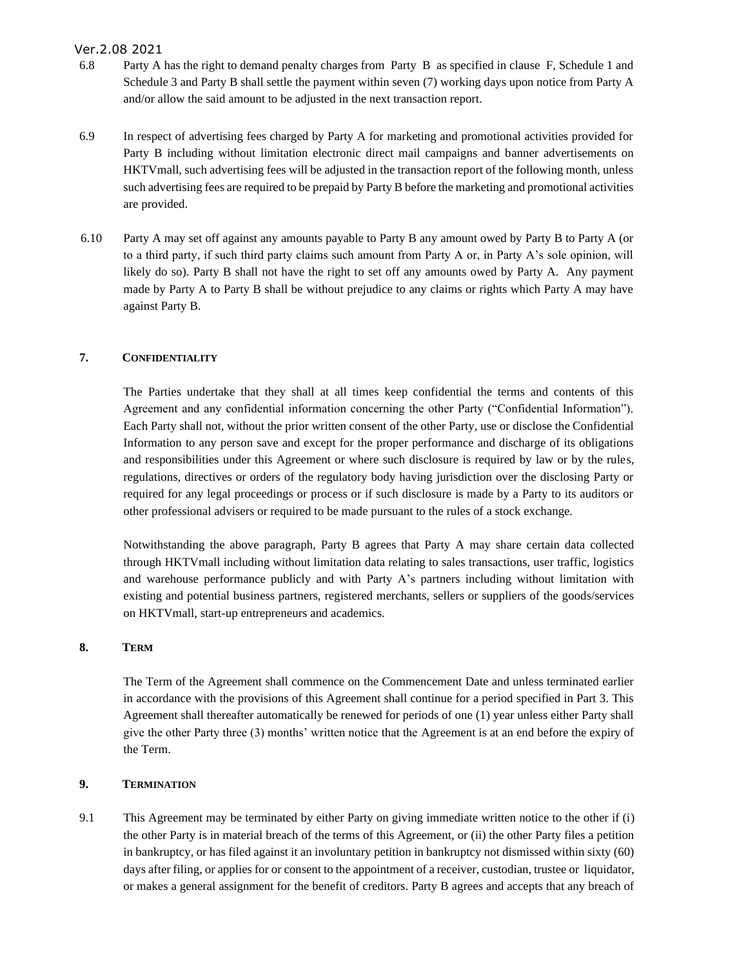- 6.8 Party A has the right to demand penalty charges from Party B as specified in clause F, Schedule 1 and Schedule 3 and Party B shall settle the payment within seven (7) working days upon notice from Party A and/or allow the said amount to be adjusted in the next transaction report.
- 6.9 In respect of advertising fees charged by Party A for marketing and promotional activities provided for Party B including without limitation electronic direct mail campaigns and banner advertisements on HKTVmall, such advertising fees will be adjusted in the transaction report of the following month, unless such advertising fees are required to be prepaid by Party B before the marketing and promotional activities are provided.
- 6.10 Party A may set off against any amounts payable to Party B any amount owed by Party B to Party A (or to a third party, if such third party claims such amount from Party A or, in Party A's sole opinion, will likely do so). Party B shall not have the right to set off any amounts owed by Party A. Any payment made by Party A to Party B shall be without prejudice to any claims or rights which Party A may have against Party B.

### **7. CONFIDENTIALITY**

The Parties undertake that they shall at all times keep confidential the terms and contents of this Agreement and any confidential information concerning the other Party ("Confidential Information"). Each Party shall not, without the prior written consent of the other Party, use or disclose the Confidential Information to any person save and except for the proper performance and discharge of its obligations and responsibilities under this Agreement or where such disclosure is required by law or by the rules, regulations, directives or orders of the regulatory body having jurisdiction over the disclosing Party or required for any legal proceedings or process or if such disclosure is made by a Party to its auditors or other professional advisers or required to be made pursuant to the rules of a stock exchange.

Notwithstanding the above paragraph, Party B agrees that Party A may share certain data collected through HKTVmall including without limitation data relating to sales transactions, user traffic, logistics and warehouse performance publicly and with Party A's partners including without limitation with existing and potential business partners, registered merchants, sellers or suppliers of the goods/services on HKTVmall, start-up entrepreneurs and academics.

#### **8. TERM**

The Term of the Agreement shall commence on the Commencement Date and unless terminated earlier in accordance with the provisions of this Agreement shall continue for a period specified in Part 3. This Agreement shall thereafter automatically be renewed for periods of one (1) year unless either Party shall give the other Party three (3) months' written notice that the Agreement is at an end before the expiry of the Term.

#### **9. TERMINATION**

9.1 This Agreement may be terminated by either Party on giving immediate written notice to the other if (i) the other Party is in material breach of the terms of this Agreement, or (ii) the other Party files a petition in bankruptcy, or has filed against it an involuntary petition in bankruptcy not dismissed within sixty (60) days after filing, or applies for or consent to the appointment of a receiver, custodian, trustee or liquidator, or makes a general assignment for the benefit of creditors. Party B agrees and accepts that any breach of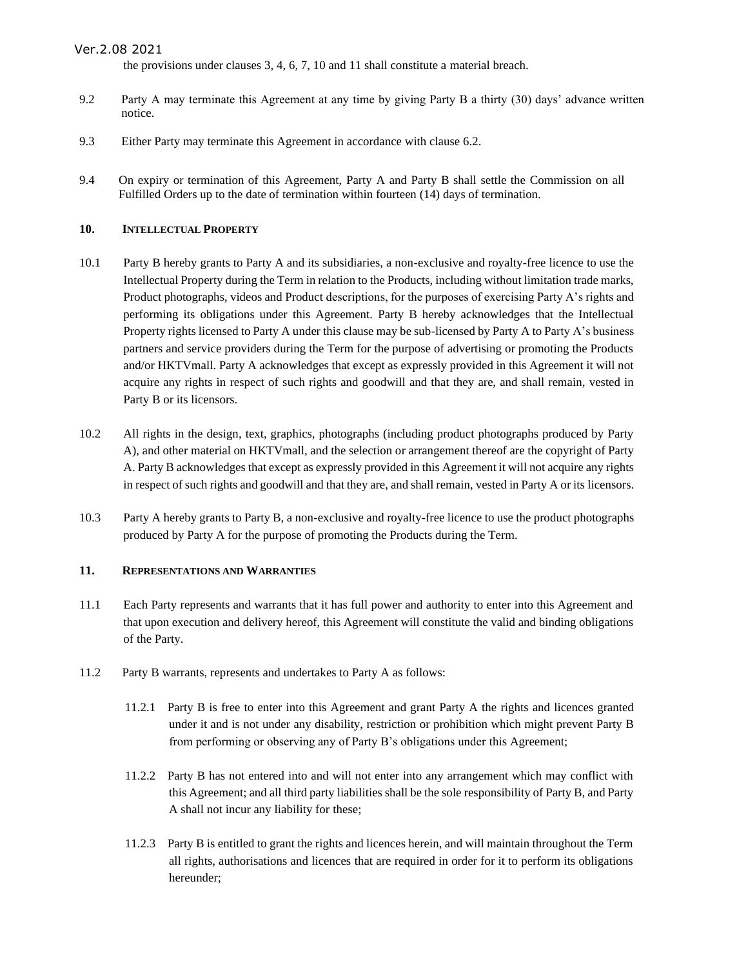the provisions under clauses 3, 4, 6, 7, 10 and 11 shall constitute a material breach.

- 9.2 Party A may terminate this Agreement at any time by giving Party B a thirty (30) days' advance written notice.
- 9.3 Either Party may terminate this Agreement in accordance with clause 6.2.
- 9.4 On expiry or termination of this Agreement, Party A and Party B shall settle the Commission on all Fulfilled Orders up to the date of termination within fourteen (14) days of termination.

#### **10. INTELLECTUAL PROPERTY**

- 10.1 Party B hereby grants to Party A and its subsidiaries, a non-exclusive and royalty-free licence to use the Intellectual Property during the Term in relation to the Products, including without limitation trade marks, Product photographs, videos and Product descriptions, for the purposes of exercising Party A's rights and performing its obligations under this Agreement. Party B hereby acknowledges that the Intellectual Property rights licensed to Party A under this clause may be sub-licensed by Party A to Party A's business partners and service providers during the Term for the purpose of advertising or promoting the Products and/or HKTVmall. Party A acknowledges that except as expressly provided in this Agreement it will not acquire any rights in respect of such rights and goodwill and that they are, and shall remain, vested in Party B or its licensors.
- 10.2 All rights in the design, text, graphics, photographs (including product photographs produced by Party A), and other material on HKTVmall, and the selection or arrangement thereof are the copyright of Party A. Party B acknowledges that except as expressly provided in this Agreement it will not acquire any rights in respect of such rights and goodwill and that they are, and shall remain, vested in Party A or its licensors.
- 10.3 Party A hereby grants to Party B, a non-exclusive and royalty-free licence to use the product photographs produced by Party A for the purpose of promoting the Products during the Term.

#### **11. REPRESENTATIONS AND WARRANTIES**

- 11.1 Each Party represents and warrants that it has full power and authority to enter into this Agreement and that upon execution and delivery hereof, this Agreement will constitute the valid and binding obligations of the Party.
- 11.2 Party B warrants, represents and undertakes to Party A as follows:
	- 11.2.1 Party B is free to enter into this Agreement and grant Party A the rights and licences granted under it and is not under any disability, restriction or prohibition which might prevent Party B from performing or observing any of Party B's obligations under this Agreement;
	- 11.2.2 Party B has not entered into and will not enter into any arrangement which may conflict with this Agreement; and all third party liabilities shall be the sole responsibility of Party B, and Party A shall not incur any liability for these;
	- 11.2.3 Party B is entitled to grant the rights and licences herein, and will maintain throughout the Term all rights, authorisations and licences that are required in order for it to perform its obligations hereunder;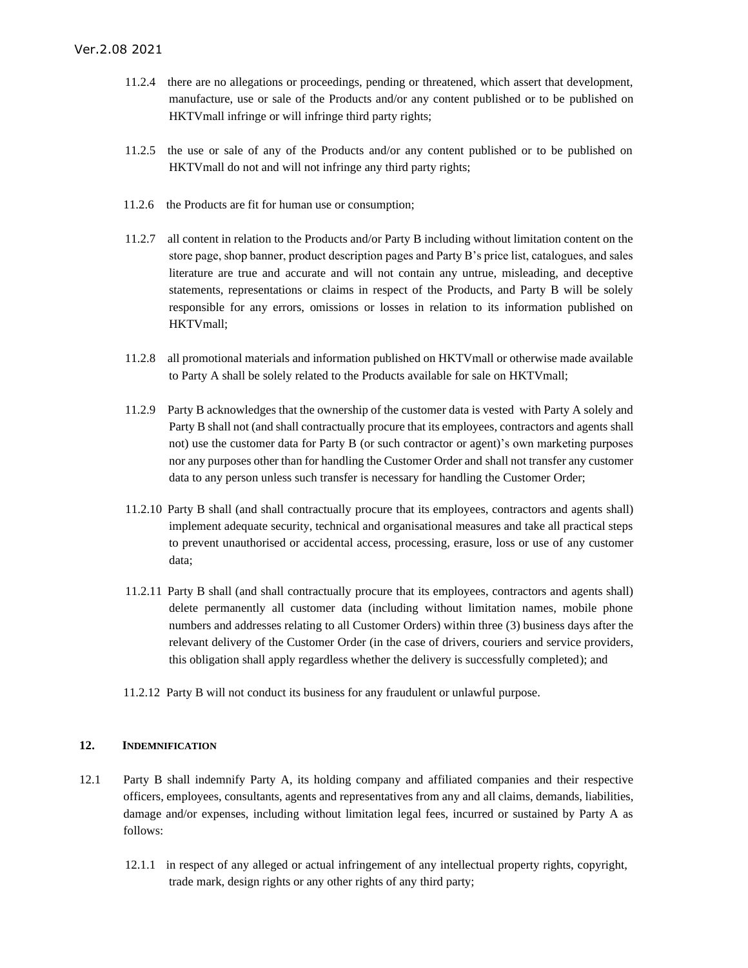- 11.2.4 there are no allegations or proceedings, pending or threatened, which assert that development, manufacture, use or sale of the Products and/or any content published or to be published on HKTVmall infringe or will infringe third party rights;
- 11.2.5 the use or sale of any of the Products and/or any content published or to be published on HKTVmall do not and will not infringe any third party rights;
- 11.2.6 the Products are fit for human use or consumption;
- 11.2.7 all content in relation to the Products and/or Party B including without limitation content on the store page, shop banner, product description pages and Party B's price list, catalogues, and sales literature are true and accurate and will not contain any untrue, misleading, and deceptive statements, representations or claims in respect of the Products, and Party B will be solely responsible for any errors, omissions or losses in relation to its information published on HKTVmall;
- 11.2.8 all promotional materials and information published on HKTVmall or otherwise made available to Party A shall be solely related to the Products available for sale on HKTVmall;
- 11.2.9 Party B acknowledges that the ownership of the customer data is vested with Party A solely and Party B shall not (and shall contractually procure that its employees, contractors and agents shall not) use the customer data for Party B (or such contractor or agent)'s own marketing purposes nor any purposes other than for handling the Customer Order and shall not transfer any customer data to any person unless such transfer is necessary for handling the Customer Order;
- 11.2.10 Party B shall (and shall contractually procure that its employees, contractors and agents shall) implement adequate security, technical and organisational measures and take all practical steps to prevent unauthorised or accidental access, processing, erasure, loss or use of any customer data;
- 11.2.11 Party B shall (and shall contractually procure that its employees, contractors and agents shall) delete permanently all customer data (including without limitation names, mobile phone numbers and addresses relating to all Customer Orders) within three (3) business days after the relevant delivery of the Customer Order (in the case of drivers, couriers and service providers, this obligation shall apply regardless whether the delivery is successfully completed); and
- 11.2.12 Party B will not conduct its business for any fraudulent or unlawful purpose.

#### **12. INDEMNIFICATION**

- 12.1 Party B shall indemnify Party A, its holding company and affiliated companies and their respective officers, employees, consultants, agents and representatives from any and all claims, demands, liabilities, damage and/or expenses, including without limitation legal fees, incurred or sustained by Party A as follows:
	- 12.1.1 in respect of any alleged or actual infringement of any intellectual property rights, copyright, trade mark, design rights or any other rights of any third party;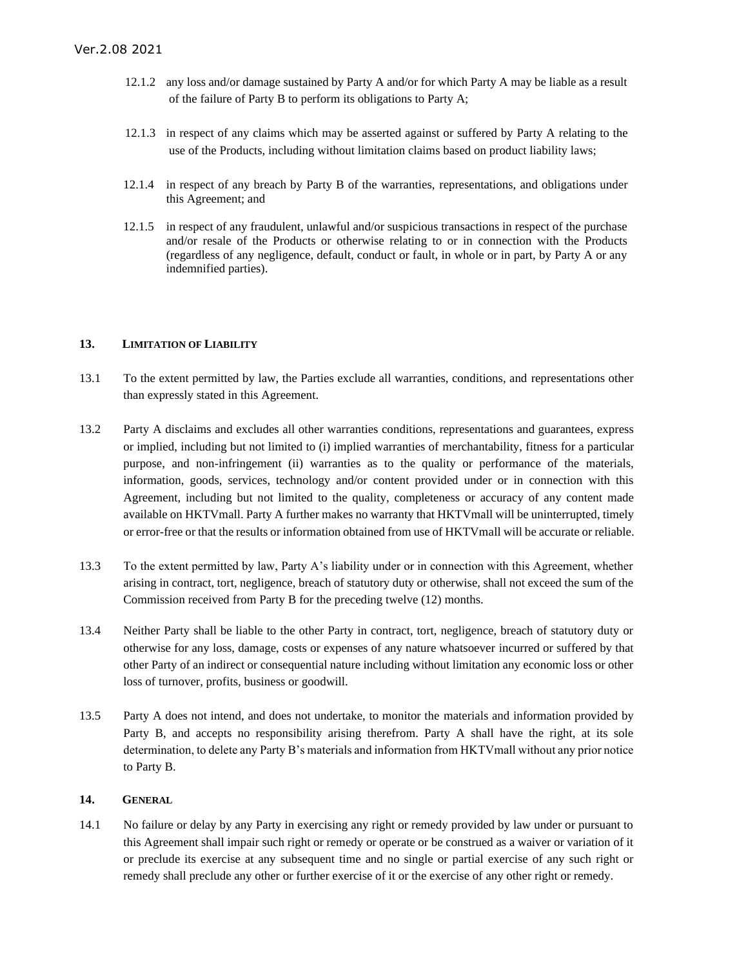- 12.1.2 any loss and/or damage sustained by Party A and/or for which Party A may be liable as a result of the failure of Party B to perform its obligations to Party A;
- 12.1.3 in respect of any claims which may be asserted against or suffered by Party A relating to the use of the Products, including without limitation claims based on product liability laws;
- 12.1.4 in respect of any breach by Party B of the warranties, representations, and obligations under this Agreement; and
- 12.1.5 in respect of any fraudulent, unlawful and/or suspicious transactions in respect of the purchase and/or resale of the Products or otherwise relating to or in connection with the Products (regardless of any negligence, default, conduct or fault, in whole or in part, by Party A or any indemnified parties).

#### **13. LIMITATION OF LIABILITY**

- 13.1 To the extent permitted by law, the Parties exclude all warranties, conditions, and representations other than expressly stated in this Agreement.
- 13.2 Party A disclaims and excludes all other warranties conditions, representations and guarantees, express or implied, including but not limited to (i) implied warranties of merchantability, fitness for a particular purpose, and non-infringement (ii) warranties as to the quality or performance of the materials, information, goods, services, technology and/or content provided under or in connection with this Agreement, including but not limited to the quality, completeness or accuracy of any content made available on HKTVmall. Party A further makes no warranty that HKTVmall will be uninterrupted, timely or error-free or that the results or information obtained from use of HKTVmall will be accurate or reliable.
- 13.3 To the extent permitted by law, Party A's liability under or in connection with this Agreement, whether arising in contract, tort, negligence, breach of statutory duty or otherwise, shall not exceed the sum of the Commission received from Party B for the preceding twelve (12) months.
- 13.4 Neither Party shall be liable to the other Party in contract, tort, negligence, breach of statutory duty or otherwise for any loss, damage, costs or expenses of any nature whatsoever incurred or suffered by that other Party of an indirect or consequential nature including without limitation any economic loss or other loss of turnover, profits, business or goodwill.
- 13.5 Party A does not intend, and does not undertake, to monitor the materials and information provided by Party B, and accepts no responsibility arising therefrom. Party A shall have the right, at its sole determination, to delete any Party B's materials and information from HKTVmall without any prior notice to Party B.

#### **14. GENERAL**

14.1 No failure or delay by any Party in exercising any right or remedy provided by law under or pursuant to this Agreement shall impair such right or remedy or operate or be construed as a waiver or variation of it or preclude its exercise at any subsequent time and no single or partial exercise of any such right or remedy shall preclude any other or further exercise of it or the exercise of any other right or remedy.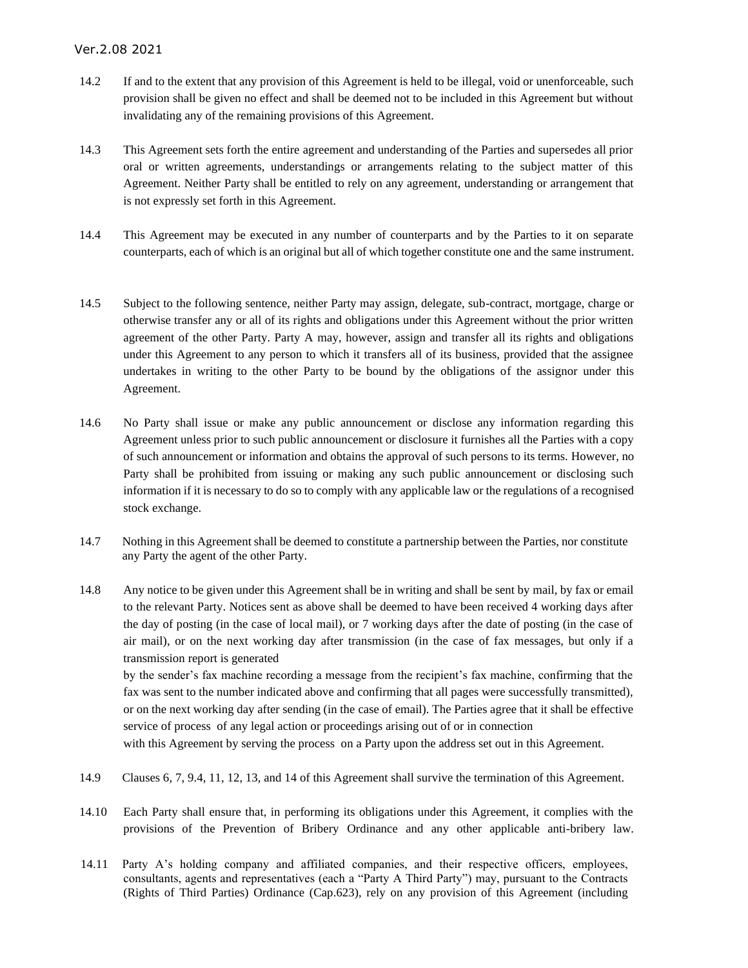- 14.2 If and to the extent that any provision of this Agreement is held to be illegal, void or unenforceable, such provision shall be given no effect and shall be deemed not to be included in this Agreement but without invalidating any of the remaining provisions of this Agreement.
- 14.3 This Agreement sets forth the entire agreement and understanding of the Parties and supersedes all prior oral or written agreements, understandings or arrangements relating to the subject matter of this Agreement. Neither Party shall be entitled to rely on any agreement, understanding or arrangement that is not expressly set forth in this Agreement.
- 14.4 This Agreement may be executed in any number of counterparts and by the Parties to it on separate counterparts, each of which is an original but all of which together constitute one and the same instrument.
- 14.5 Subject to the following sentence, neither Party may assign, delegate, sub-contract, mortgage, charge or otherwise transfer any or all of its rights and obligations under this Agreement without the prior written agreement of the other Party. Party A may, however, assign and transfer all its rights and obligations under this Agreement to any person to which it transfers all of its business, provided that the assignee undertakes in writing to the other Party to be bound by the obligations of the assignor under this Agreement.
- 14.6 No Party shall issue or make any public announcement or disclose any information regarding this Agreement unless prior to such public announcement or disclosure it furnishes all the Parties with a copy of such announcement or information and obtains the approval of such persons to its terms. However, no Party shall be prohibited from issuing or making any such public announcement or disclosing such information if it is necessary to do so to comply with any applicable law or the regulations of a recognised stock exchange.
- 14.7 Nothing in this Agreement shall be deemed to constitute a partnership between the Parties, nor constitute any Party the agent of the other Party.
- 14.8 Any notice to be given under this Agreement shall be in writing and shall be sent by mail, by fax or email to the relevant Party. Notices sent as above shall be deemed to have been received 4 working days after the day of posting (in the case of local mail), or 7 working days after the date of posting (in the case of air mail), or on the next working day after transmission (in the case of fax messages, but only if a transmission report is generated

by the sender's fax machine recording a message from the recipient's fax machine, confirming that the fax was sent to the number indicated above and confirming that all pages were successfully transmitted), or on the next working day after sending (in the case of email). The Parties agree that it shall be effective service of process of any legal action or proceedings arising out of or in connection

with this Agreement by serving the process on a Party upon the address set out in this Agreement.

- 14.9 Clauses 6, 7, 9.4, 11, 12, 13, and 14 of this Agreement shall survive the termination of this Agreement.
- 14.10 Each Party shall ensure that, in performing its obligations under this Agreement, it complies with the provisions of the Prevention of Bribery Ordinance and any other applicable anti-bribery law.
- 14.11 Party A's holding company and affiliated companies, and their respective officers, employees, consultants, agents and representatives (each a "Party A Third Party") may, pursuant to the Contracts (Rights of Third Parties) Ordinance (Cap.623), rely on any provision of this Agreement (including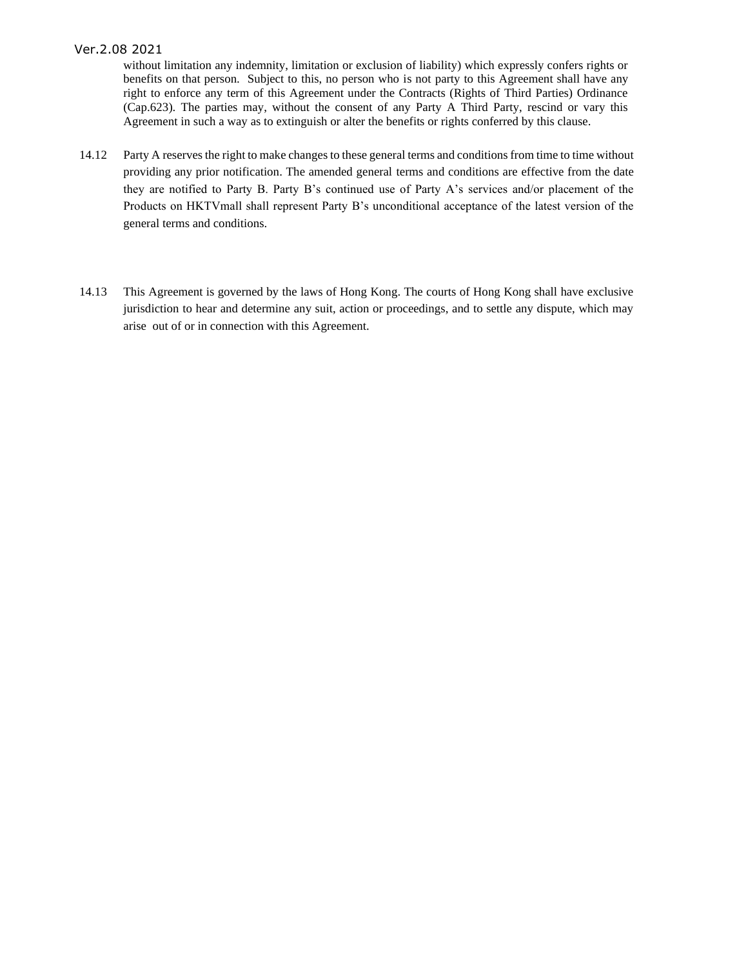without limitation any indemnity, limitation or exclusion of liability) which expressly confers rights or benefits on that person. Subject to this, no person who is not party to this Agreement shall have any right to enforce any term of this Agreement under the Contracts (Rights of Third Parties) Ordinance (Cap.623). The parties may, without the consent of any Party A Third Party, rescind or vary this Agreement in such a way as to extinguish or alter the benefits or rights conferred by this clause.

- 14.12 Party A reserves the right to make changes to these general terms and conditions from time to time without providing any prior notification. The amended general terms and conditions are effective from the date they are notified to Party B. Party B's continued use of Party A's services and/or placement of the Products on HKTVmall shall represent Party B's unconditional acceptance of the latest version of the general terms and conditions.
- 14.13 This Agreement is governed by the laws of Hong Kong. The courts of Hong Kong shall have exclusive jurisdiction to hear and determine any suit, action or proceedings, and to settle any dispute, which may arise out of or in connection with this Agreement.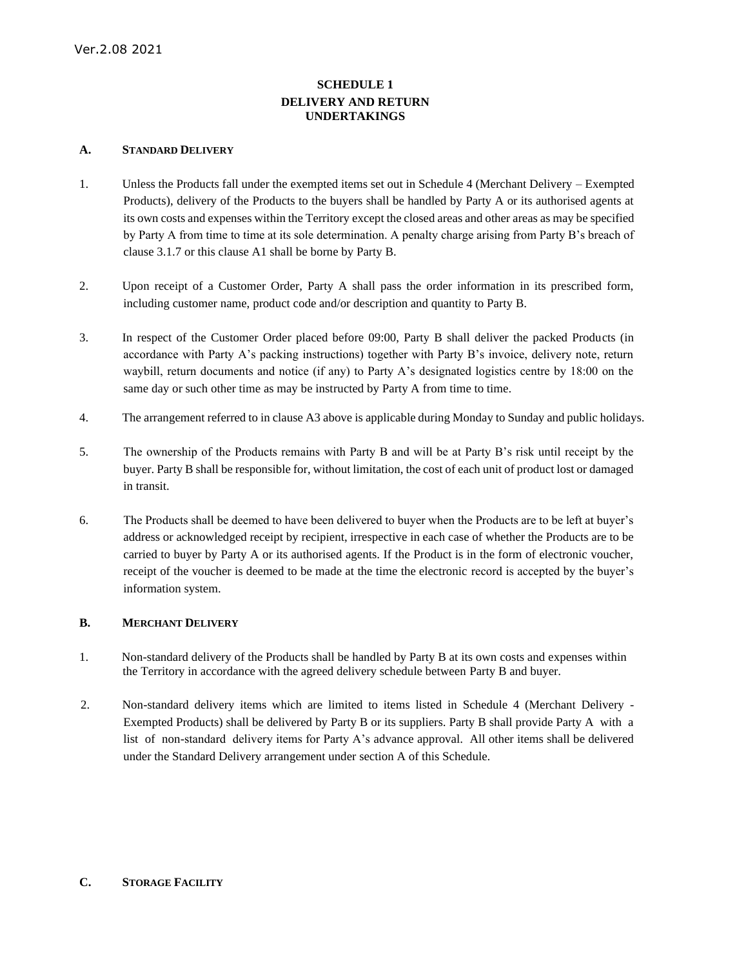## **SCHEDULE 1 DELIVERY AND RETURN UNDERTAKINGS**

#### **A. STANDARD DELIVERY**

- 1. Unless the Products fall under the exempted items set out in Schedule 4 (Merchant Delivery Exempted Products), delivery of the Products to the buyers shall be handled by Party A or its authorised agents at its own costs and expenses within the Territory except the closed areas and other areas as may be specified by Party A from time to time at its sole determination. A penalty charge arising from Party B's breach of clause 3.1.7 or this clause A1 shall be borne by Party B.
- 2. Upon receipt of a Customer Order, Party A shall pass the order information in its prescribed form, including customer name, product code and/or description and quantity to Party B.
- 3. In respect of the Customer Order placed before 09:00, Party B shall deliver the packed Products (in accordance with Party A's packing instructions) together with Party B's invoice, delivery note, return waybill, return documents and notice (if any) to Party A's designated logistics centre by 18:00 on the same day or such other time as may be instructed by Party A from time to time.
- 4. The arrangement referred to in clause A3 above is applicable during Monday to Sunday and public holidays.
- 5. The ownership of the Products remains with Party B and will be at Party B's risk until receipt by the buyer. Party B shall be responsible for, without limitation, the cost of each unit of product lost or damaged in transit.
- 6. The Products shall be deemed to have been delivered to buyer when the Products are to be left at buyer's address or acknowledged receipt by recipient, irrespective in each case of whether the Products are to be carried to buyer by Party A or its authorised agents. If the Product is in the form of electronic voucher, receipt of the voucher is deemed to be made at the time the electronic record is accepted by the buyer's information system.

#### **B. MERCHANT DELIVERY**

- 1. Non-standard delivery of the Products shall be handled by Party B at its own costs and expenses within the Territory in accordance with the agreed delivery schedule between Party B and buyer.
- 2. Non-standard delivery items which are limited to items listed in Schedule 4 (Merchant Delivery Exempted Products) shall be delivered by Party B or its suppliers. Party B shall provide Party A with a list of non-standard delivery items for Party A's advance approval. All other items shall be delivered under the Standard Delivery arrangement under section A of this Schedule.

#### **C. STORAGE FACILITY**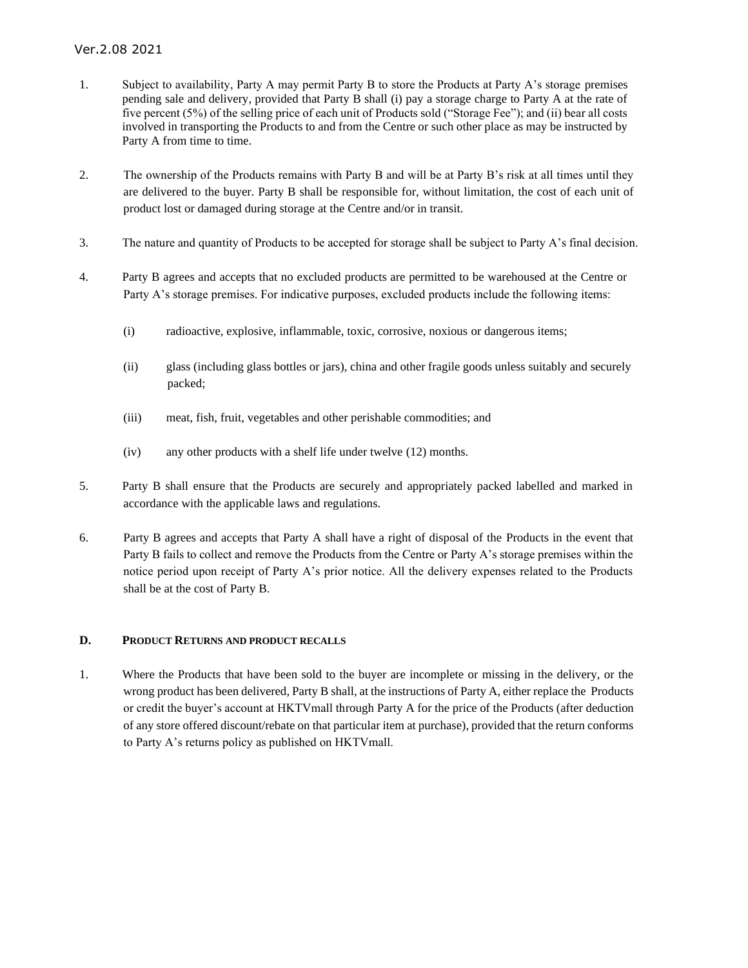- 1. Subject to availability, Party A may permit Party B to store the Products at Party A's storage premises pending sale and delivery, provided that Party B shall (i) pay a storage charge to Party A at the rate of five percent (5%) of the selling price of each unit of Products sold ("Storage Fee"); and (ii) bear all costs involved in transporting the Products to and from the Centre or such other place as may be instructed by Party A from time to time.
- 2. The ownership of the Products remains with Party B and will be at Party B's risk at all times until they are delivered to the buyer. Party B shall be responsible for, without limitation, the cost of each unit of product lost or damaged during storage at the Centre and/or in transit.
- 3. The nature and quantity of Products to be accepted for storage shall be subject to Party A's final decision.
- 4. Party B agrees and accepts that no excluded products are permitted to be warehoused at the Centre or Party A's storage premises. For indicative purposes, excluded products include the following items:
	- (i) radioactive, explosive, inflammable, toxic, corrosive, noxious or dangerous items;
	- (ii) glass (including glass bottles or jars), china and other fragile goods unless suitably and securely packed;
	- (iii) meat, fish, fruit, vegetables and other perishable commodities; and
	- (iv) any other products with a shelf life under twelve (12) months.
- 5. Party B shall ensure that the Products are securely and appropriately packed labelled and marked in accordance with the applicable laws and regulations.
- 6. Party B agrees and accepts that Party A shall have a right of disposal of the Products in the event that Party B fails to collect and remove the Products from the Centre or Party A's storage premises within the notice period upon receipt of Party A's prior notice. All the delivery expenses related to the Products shall be at the cost of Party B.

#### **D. PRODUCT RETURNS AND PRODUCT RECALLS**

1. Where the Products that have been sold to the buyer are incomplete or missing in the delivery, or the wrong product has been delivered, Party B shall, at the instructions of Party A, either replace the Products or credit the buyer's account at HKTVmall through Party A for the price of the Products (after deduction of any store offered discount/rebate on that particular item at purchase), provided that the return conforms to Party A's returns policy as published on HKTVmall.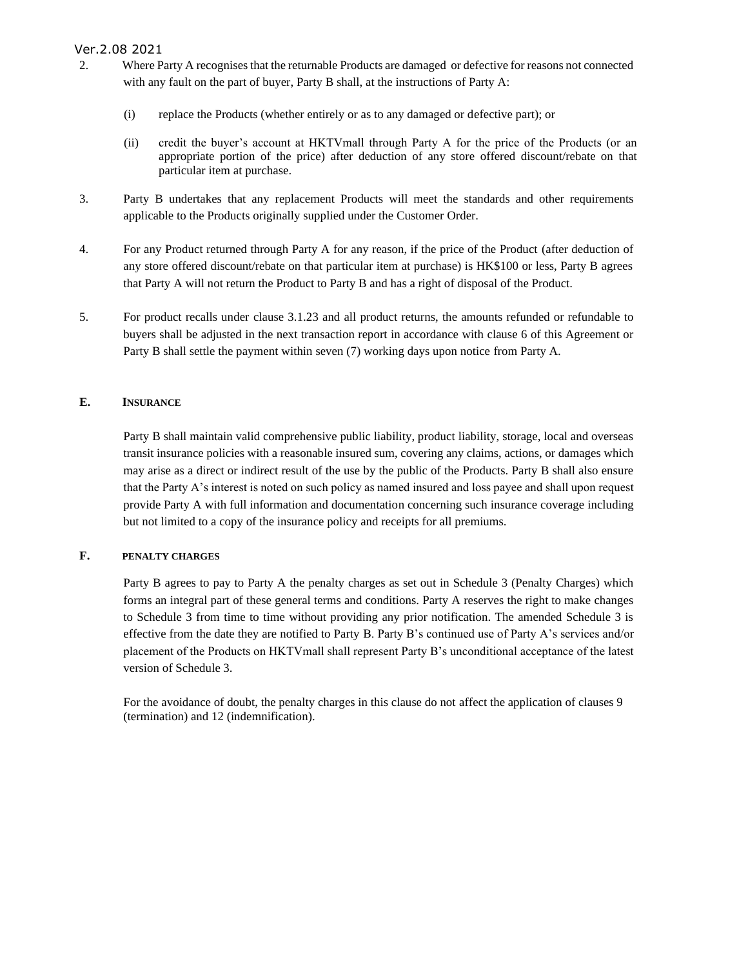- 2. Where Party A recognises that the returnable Products are damaged or defective for reasons not connected with any fault on the part of buyer, Party B shall, at the instructions of Party A:
	- (i) replace the Products (whether entirely or as to any damaged or defective part); or
	- (ii) credit the buyer's account at HKTVmall through Party A for the price of the Products (or an appropriate portion of the price) after deduction of any store offered discount/rebate on that particular item at purchase.
- 3. Party B undertakes that any replacement Products will meet the standards and other requirements applicable to the Products originally supplied under the Customer Order.
- 4. For any Product returned through Party A for any reason, if the price of the Product (after deduction of any store offered discount/rebate on that particular item at purchase) is HK\$100 or less, Party B agrees that Party A will not return the Product to Party B and has a right of disposal of the Product.
- 5. For product recalls under clause 3.1.23 and all product returns, the amounts refunded or refundable to buyers shall be adjusted in the next transaction report in accordance with clause 6 of this Agreement or Party B shall settle the payment within seven (7) working days upon notice from Party A.

### **E. INSURANCE**

Party B shall maintain valid comprehensive public liability, product liability, storage, local and overseas transit insurance policies with a reasonable insured sum, covering any claims, actions, or damages which may arise as a direct or indirect result of the use by the public of the Products. Party B shall also ensure that the Party A's interest is noted on such policy as named insured and loss payee and shall upon request provide Party A with full information and documentation concerning such insurance coverage including but not limited to a copy of the insurance policy and receipts for all premiums.

#### **F. PENALTY CHARGES**

Party B agrees to pay to Party A the penalty charges as set out in Schedule 3 (Penalty Charges) which forms an integral part of these general terms and conditions. Party A reserves the right to make changes to Schedule 3 from time to time without providing any prior notification. The amended Schedule 3 is effective from the date they are notified to Party B. Party B's continued use of Party A's services and/or placement of the Products on HKTVmall shall represent Party B's unconditional acceptance of the latest version of Schedule 3.

For the avoidance of doubt, the penalty charges in this clause do not affect the application of clauses 9 (termination) and 12 (indemnification).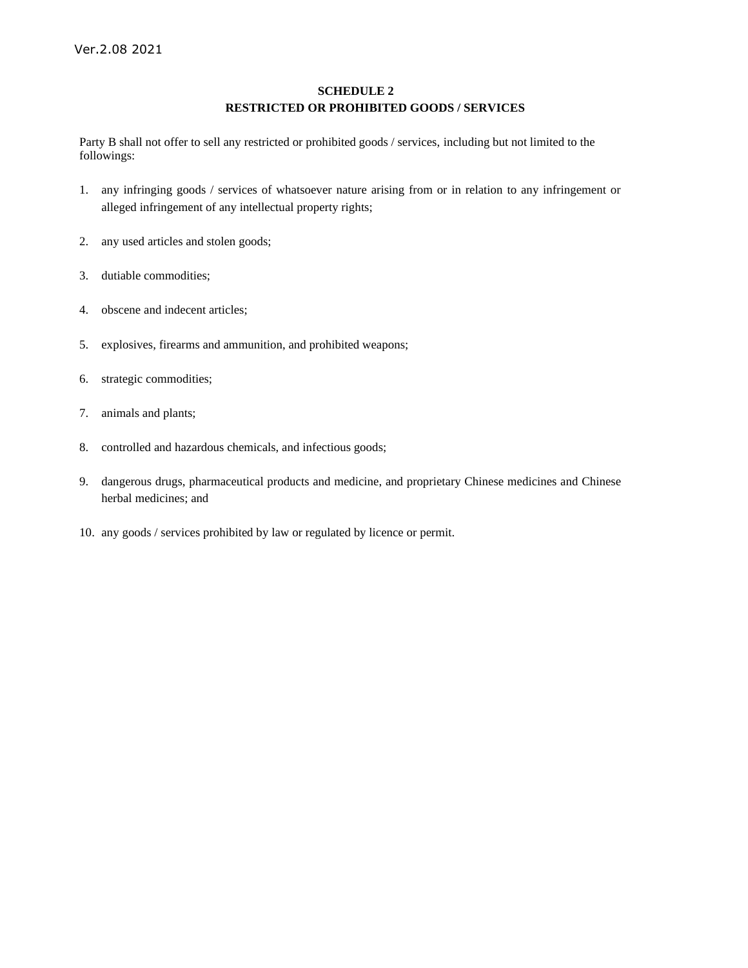## **SCHEDULE 2 RESTRICTED OR PROHIBITED GOODS / SERVICES**

Party B shall not offer to sell any restricted or prohibited goods / services, including but not limited to the followings:

- 1. any infringing goods / services of whatsoever nature arising from or in relation to any infringement or alleged infringement of any intellectual property rights;
- 2. any used articles and stolen goods;
- 3. dutiable commodities;
- 4. obscene and indecent articles;
- 5. explosives, firearms and ammunition, and prohibited weapons;
- 6. strategic commodities;
- 7. animals and plants;
- 8. controlled and hazardous chemicals, and infectious goods;
- 9. dangerous drugs, pharmaceutical products and medicine, and proprietary Chinese medicines and Chinese herbal medicines; and
- 10. any goods / services prohibited by law or regulated by licence or permit.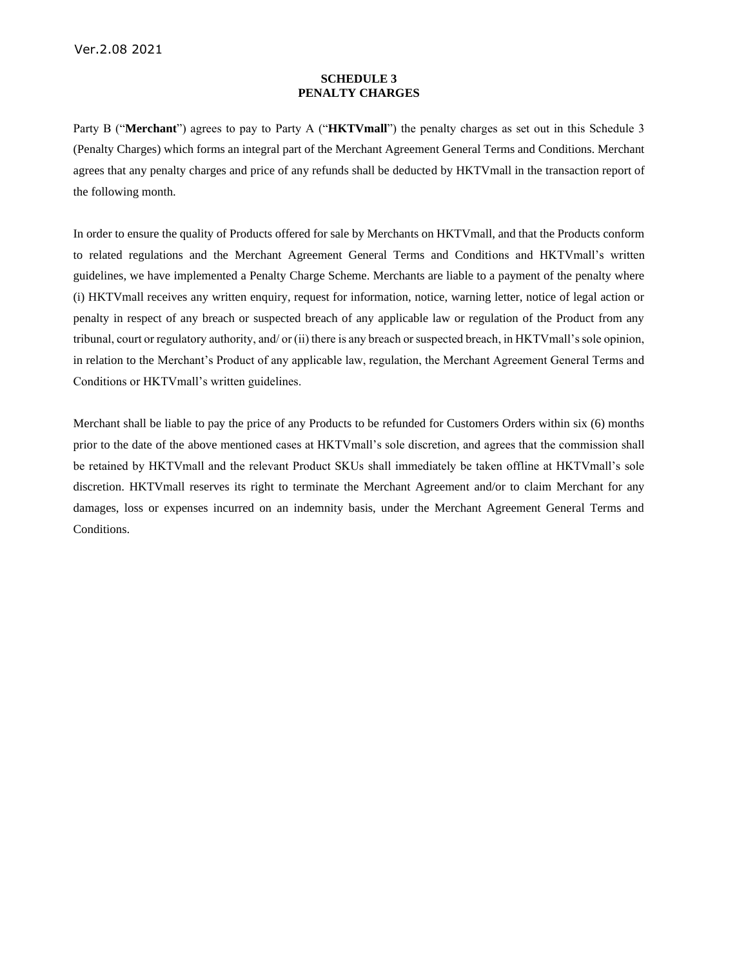#### **SCHEDULE 3 PENALTY CHARGES**

Party B ("**Merchant**") agrees to pay to Party A ("**HKTVmall**") the penalty charges as set out in this Schedule 3 (Penalty Charges) which forms an integral part of the Merchant Agreement General Terms and Conditions. Merchant agrees that any penalty charges and price of any refunds shall be deducted by HKTVmall in the transaction report of the following month.

In order to ensure the quality of Products offered for sale by Merchants on HKTVmall, and that the Products conform to related regulations and the Merchant Agreement General Terms and Conditions and HKTVmall's written guidelines, we have implemented a Penalty Charge Scheme. Merchants are liable to a payment of the penalty where (i) HKTVmall receives any written enquiry, request for information, notice, warning letter, notice of legal action or penalty in respect of any breach or suspected breach of any applicable law or regulation of the Product from any tribunal, court or regulatory authority, and/ or (ii) there is any breach or suspected breach, in HKTVmall's sole opinion, in relation to the Merchant's Product of any applicable law, regulation, the Merchant Agreement General Terms and Conditions or HKTVmall's written guidelines.

Merchant shall be liable to pay the price of any Products to be refunded for Customers Orders within six (6) months prior to the date of the above mentioned cases at HKTVmall's sole discretion, and agrees that the commission shall be retained by HKTVmall and the relevant Product SKUs shall immediately be taken offline at HKTVmall's sole discretion. HKTVmall reserves its right to terminate the Merchant Agreement and/or to claim Merchant for any damages, loss or expenses incurred on an indemnity basis, under the Merchant Agreement General Terms and Conditions.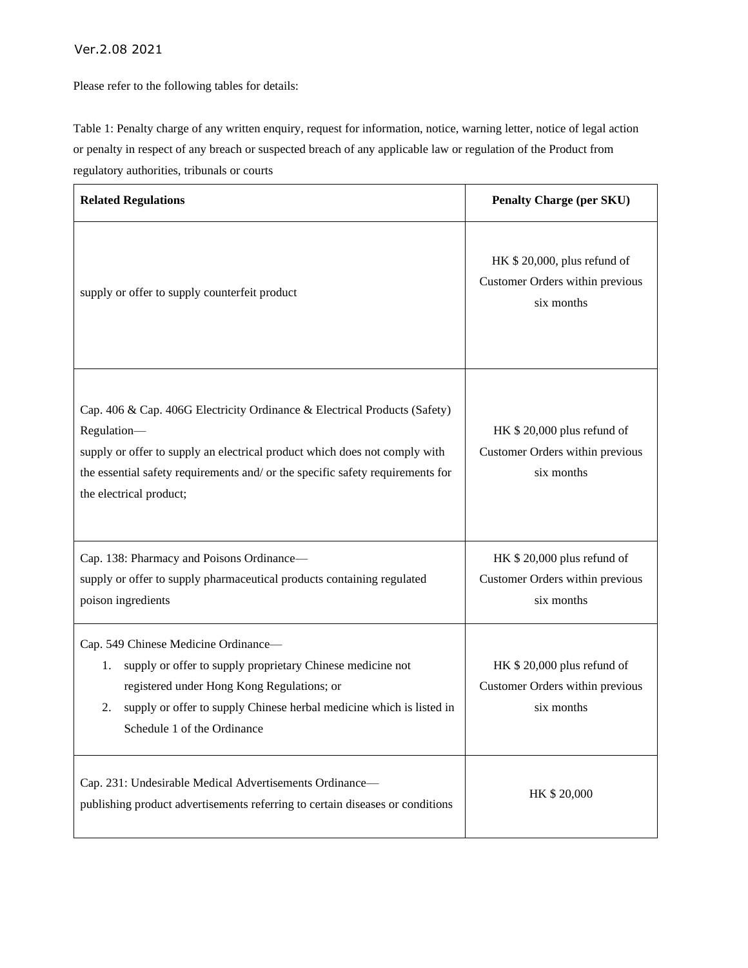Please refer to the following tables for details:

Table 1: Penalty charge of any written enquiry, request for information, notice, warning letter, notice of legal action or penalty in respect of any breach or suspected breach of any applicable law or regulation of the Product from regulatory authorities, tribunals or courts

| <b>Related Regulations</b>                                                                                                                                                                                                                                                          | <b>Penalty Charge (per SKU)</b>                                              |
|-------------------------------------------------------------------------------------------------------------------------------------------------------------------------------------------------------------------------------------------------------------------------------------|------------------------------------------------------------------------------|
| supply or offer to supply counterfeit product                                                                                                                                                                                                                                       | HK \$20,000, plus refund of<br>Customer Orders within previous<br>six months |
| Cap. 406 & Cap. 406G Electricity Ordinance & Electrical Products (Safety)<br>Regulation-<br>supply or offer to supply an electrical product which does not comply with<br>the essential safety requirements and/ or the specific safety requirements for<br>the electrical product; | HK \$20,000 plus refund of<br>Customer Orders within previous<br>six months  |
| Cap. 138: Pharmacy and Poisons Ordinance-<br>supply or offer to supply pharmaceutical products containing regulated<br>poison ingredients                                                                                                                                           | HK \$20,000 plus refund of<br>Customer Orders within previous<br>six months  |
| Cap. 549 Chinese Medicine Ordinance-<br>supply or offer to supply proprietary Chinese medicine not<br>1.<br>registered under Hong Kong Regulations; or<br>supply or offer to supply Chinese herbal medicine which is listed in<br>2.<br>Schedule 1 of the Ordinance                 | HK \$20,000 plus refund of<br>Customer Orders within previous<br>six months  |
| Cap. 231: Undesirable Medical Advertisements Ordinance-<br>publishing product advertisements referring to certain diseases or conditions                                                                                                                                            | HK \$20,000                                                                  |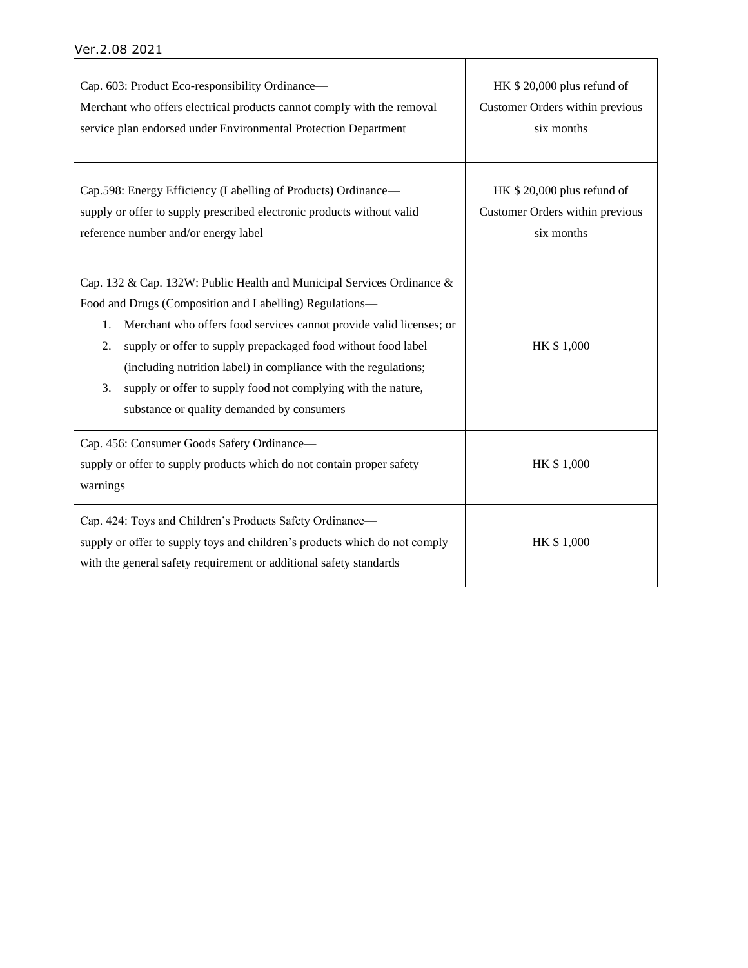| Cap. 603: Product Eco-responsibility Ordinance-<br>Merchant who offers electrical products cannot comply with the removal<br>service plan endorsed under Environmental Protection Department                                                                                                                                                                                                                                                                                  | HK \$20,000 plus refund of<br>Customer Orders within previous<br>six months |
|-------------------------------------------------------------------------------------------------------------------------------------------------------------------------------------------------------------------------------------------------------------------------------------------------------------------------------------------------------------------------------------------------------------------------------------------------------------------------------|-----------------------------------------------------------------------------|
| Cap.598: Energy Efficiency (Labelling of Products) Ordinance—<br>supply or offer to supply prescribed electronic products without valid<br>reference number and/or energy label                                                                                                                                                                                                                                                                                               | HK \$20,000 plus refund of<br>Customer Orders within previous<br>six months |
| Cap. 132 & Cap. 132W: Public Health and Municipal Services Ordinance &<br>Food and Drugs (Composition and Labelling) Regulations-<br>Merchant who offers food services cannot provide valid licenses; or<br>1.<br>supply or offer to supply prepackaged food without food label<br>2.<br>(including nutrition label) in compliance with the regulations;<br>3.<br>supply or offer to supply food not complying with the nature,<br>substance or quality demanded by consumers | HK \$1,000                                                                  |
| Cap. 456: Consumer Goods Safety Ordinance-<br>supply or offer to supply products which do not contain proper safety<br>warnings                                                                                                                                                                                                                                                                                                                                               | HK \$1,000                                                                  |
| Cap. 424: Toys and Children's Products Safety Ordinance-<br>supply or offer to supply toys and children's products which do not comply<br>with the general safety requirement or additional safety standards                                                                                                                                                                                                                                                                  | HK \$1,000                                                                  |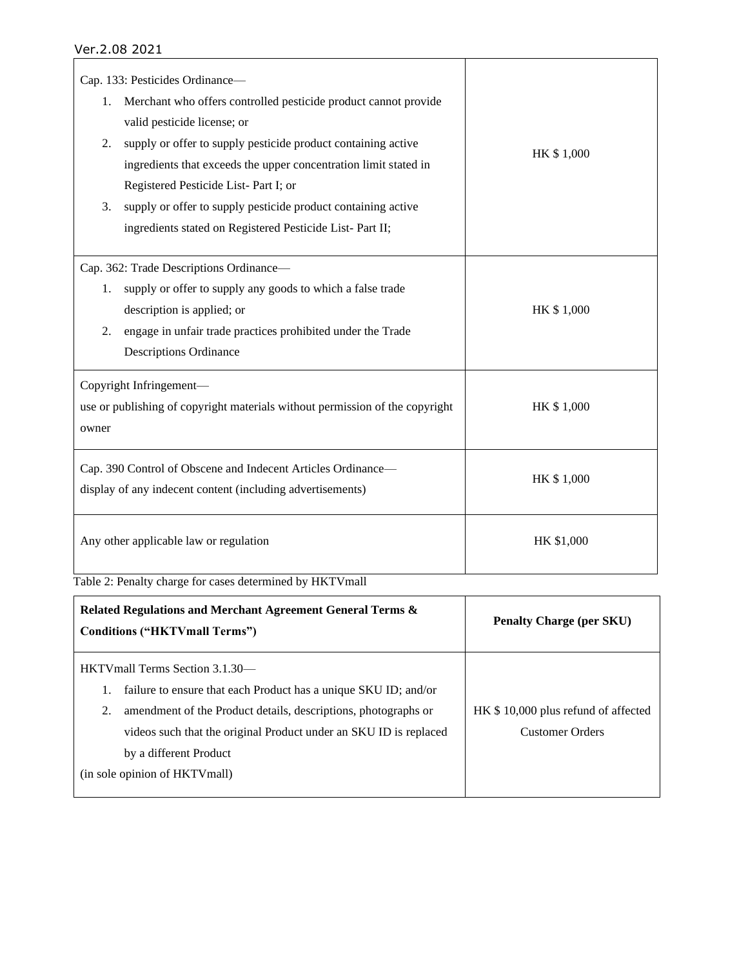| Cap. 133: Pesticides Ordinance-                                              |            |  |  |
|------------------------------------------------------------------------------|------------|--|--|
| Merchant who offers controlled pesticide product cannot provide<br>1.        |            |  |  |
| valid pesticide license; or                                                  |            |  |  |
| supply or offer to supply pesticide product containing active<br>2.          | HK \$1,000 |  |  |
| ingredients that exceeds the upper concentration limit stated in             |            |  |  |
| Registered Pesticide List-Part I; or                                         |            |  |  |
| 3.<br>supply or offer to supply pesticide product containing active          |            |  |  |
| ingredients stated on Registered Pesticide List- Part II;                    |            |  |  |
|                                                                              |            |  |  |
| Cap. 362: Trade Descriptions Ordinance-                                      |            |  |  |
| supply or offer to supply any goods to which a false trade<br>1.             |            |  |  |
| description is applied; or                                                   | HK \$1,000 |  |  |
| engage in unfair trade practices prohibited under the Trade<br>2.            |            |  |  |
| <b>Descriptions Ordinance</b>                                                |            |  |  |
| Copyright Infringement-                                                      |            |  |  |
| use or publishing of copyright materials without permission of the copyright | HK \$1,000 |  |  |
| owner                                                                        |            |  |  |
|                                                                              |            |  |  |
| Cap. 390 Control of Obscene and Indecent Articles Ordinance-                 | HK \$1,000 |  |  |
| display of any indecent content (including advertisements)                   |            |  |  |
|                                                                              |            |  |  |
| Any other applicable law or regulation                                       | HK \$1,000 |  |  |
|                                                                              |            |  |  |

Table 2: Penalty charge for cases determined by HKTVmall

l,

| Related Regulations and Merchant Agreement General Terms &<br><b>Conditions ("HKTVmall Terms")</b> |                                                                   | <b>Penalty Charge (per SKU)</b>     |
|----------------------------------------------------------------------------------------------------|-------------------------------------------------------------------|-------------------------------------|
|                                                                                                    | HKTVmall Terms Section 3.1.30-                                    |                                     |
|                                                                                                    | failure to ensure that each Product has a unique SKU ID; and/or   |                                     |
| 2.                                                                                                 | amendment of the Product details, descriptions, photographs or    | HK \$10,000 plus refund of affected |
|                                                                                                    | videos such that the original Product under an SKU ID is replaced | <b>Customer Orders</b>              |
|                                                                                                    | by a different Product                                            |                                     |
|                                                                                                    | (in sole opinion of HKTVmall)                                     |                                     |
|                                                                                                    |                                                                   |                                     |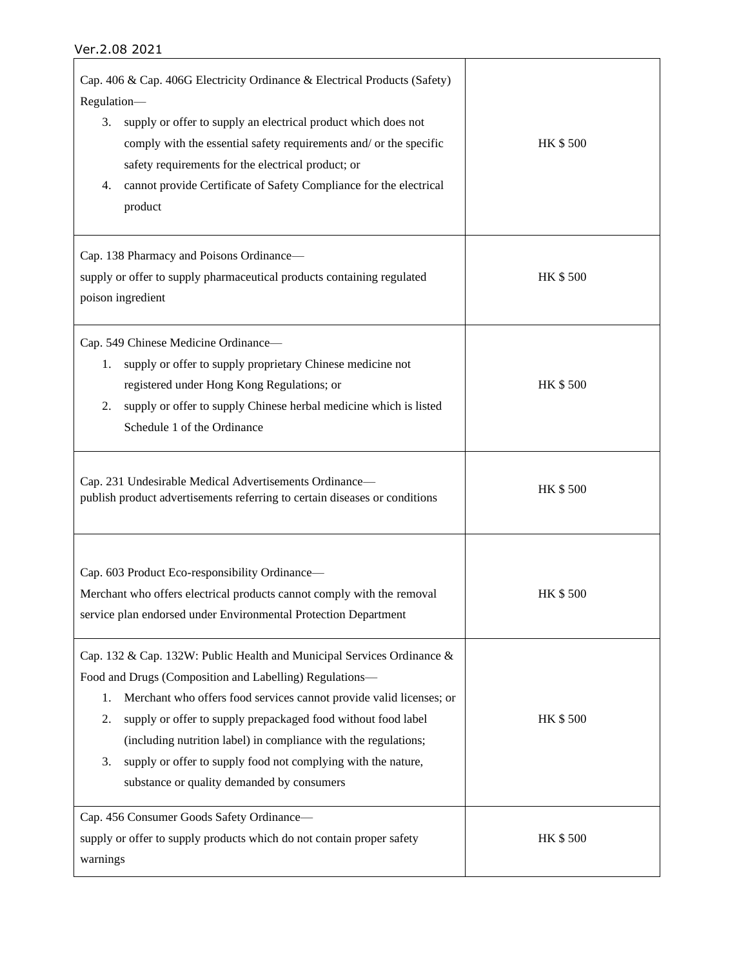| Cap. 406 & Cap. 406G Electricity Ordinance & Electrical Products (Safety)<br>Regulation-<br>3.<br>supply or offer to supply an electrical product which does not<br>comply with the essential safety requirements and/ or the specific<br>safety requirements for the electrical product; or<br>cannot provide Certificate of Safety Compliance for the electrical<br>4.<br>product                                                                                           | HK \$500 |
|-------------------------------------------------------------------------------------------------------------------------------------------------------------------------------------------------------------------------------------------------------------------------------------------------------------------------------------------------------------------------------------------------------------------------------------------------------------------------------|----------|
| Cap. 138 Pharmacy and Poisons Ordinance-<br>supply or offer to supply pharmaceutical products containing regulated<br>poison ingredient                                                                                                                                                                                                                                                                                                                                       | HK \$500 |
| Cap. 549 Chinese Medicine Ordinance-<br>supply or offer to supply proprietary Chinese medicine not<br>1.<br>registered under Hong Kong Regulations; or<br>supply or offer to supply Chinese herbal medicine which is listed<br>2.<br>Schedule 1 of the Ordinance                                                                                                                                                                                                              | HK \$500 |
| Cap. 231 Undesirable Medical Advertisements Ordinance-<br>publish product advertisements referring to certain diseases or conditions                                                                                                                                                                                                                                                                                                                                          | HK \$500 |
| Cap. 603 Product Eco-responsibility Ordinance-<br>Merchant who offers electrical products cannot comply with the removal<br>service plan endorsed under Environmental Protection Department                                                                                                                                                                                                                                                                                   | HK \$500 |
| Cap. 132 & Cap. 132W: Public Health and Municipal Services Ordinance &<br>Food and Drugs (Composition and Labelling) Regulations-<br>Merchant who offers food services cannot provide valid licenses; or<br>1.<br>supply or offer to supply prepackaged food without food label<br>2.<br>(including nutrition label) in compliance with the regulations;<br>supply or offer to supply food not complying with the nature,<br>3.<br>substance or quality demanded by consumers | HK \$500 |
| Cap. 456 Consumer Goods Safety Ordinance-<br>supply or offer to supply products which do not contain proper safety<br>warnings                                                                                                                                                                                                                                                                                                                                                | HK \$500 |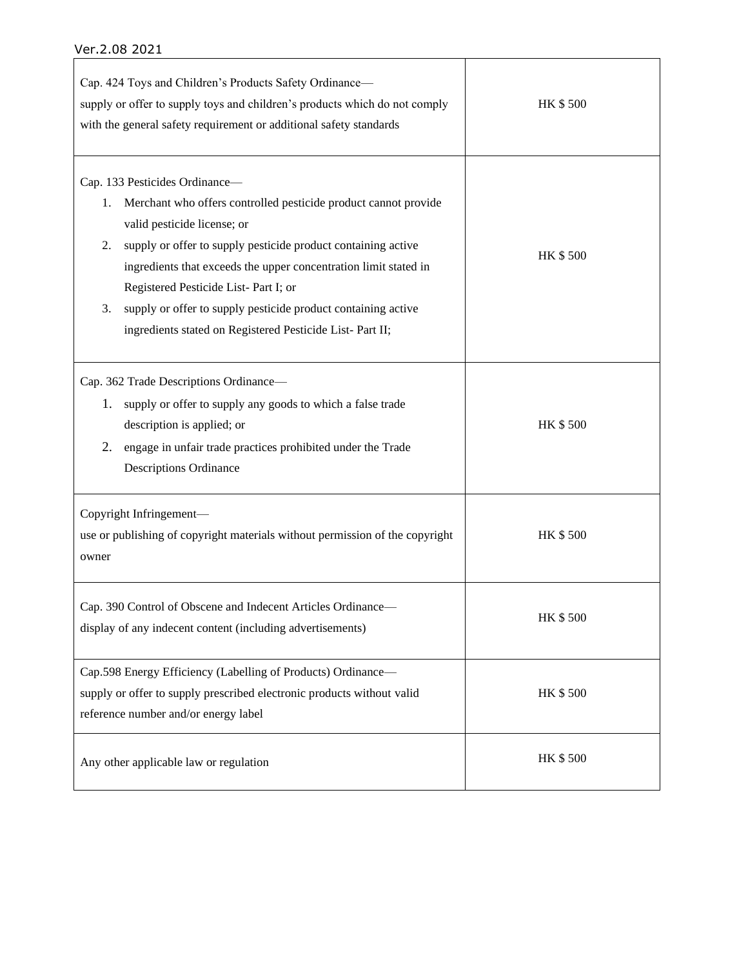| Cap. 424 Toys and Children's Products Safety Ordinance-<br>supply or offer to supply toys and children's products which do not comply<br>with the general safety requirement or additional safety standards                                                                                                                                                                                                                                                   | <b>HK \$500</b> |
|---------------------------------------------------------------------------------------------------------------------------------------------------------------------------------------------------------------------------------------------------------------------------------------------------------------------------------------------------------------------------------------------------------------------------------------------------------------|-----------------|
| Cap. 133 Pesticides Ordinance-<br>Merchant who offers controlled pesticide product cannot provide<br>l.<br>valid pesticide license; or<br>supply or offer to supply pesticide product containing active<br>2.<br>ingredients that exceeds the upper concentration limit stated in<br>Registered Pesticide List-Part I; or<br>supply or offer to supply pesticide product containing active<br>3.<br>ingredients stated on Registered Pesticide List- Part II; | HK \$500        |
| Cap. 362 Trade Descriptions Ordinance-<br>supply or offer to supply any goods to which a false trade<br>1.<br>description is applied; or<br>2.<br>engage in unfair trade practices prohibited under the Trade<br><b>Descriptions Ordinance</b>                                                                                                                                                                                                                | HK \$500        |
| Copyright Infringement-<br>use or publishing of copyright materials without permission of the copyright<br>owner                                                                                                                                                                                                                                                                                                                                              | HK \$500        |
| Cap. 390 Control of Obscene and Indecent Articles Ordinance-<br>display of any indecent content (including advertisements)                                                                                                                                                                                                                                                                                                                                    | HK \$500        |
| Cap.598 Energy Efficiency (Labelling of Products) Ordinance-<br>supply or offer to supply prescribed electronic products without valid<br>reference number and/or energy label                                                                                                                                                                                                                                                                                | HK \$500        |
| Any other applicable law or regulation                                                                                                                                                                                                                                                                                                                                                                                                                        | HK \$500        |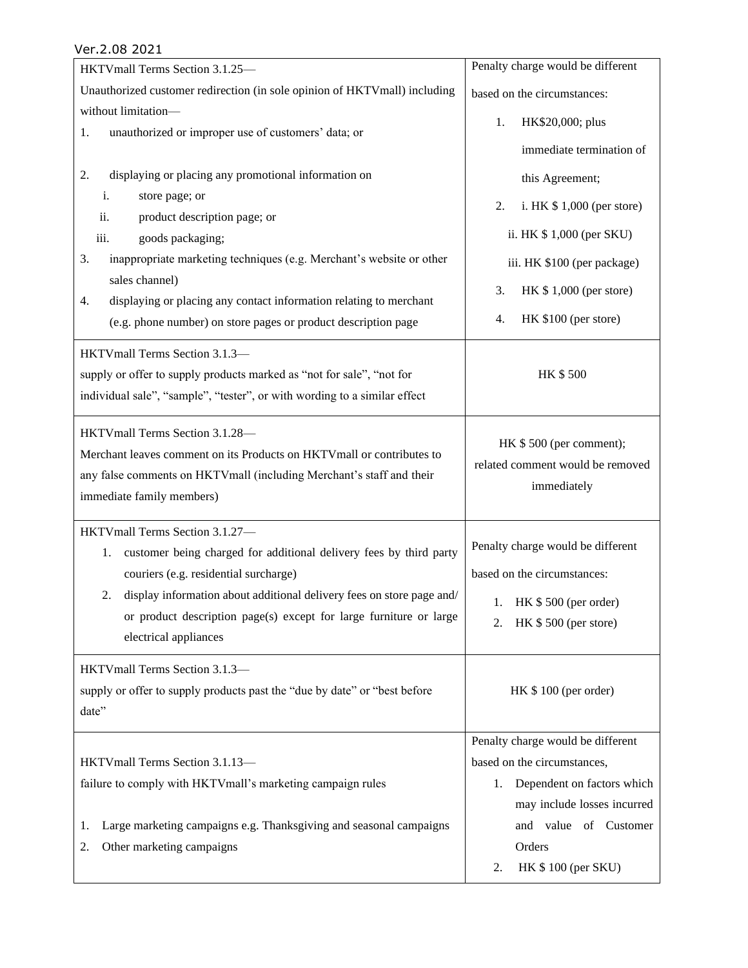| Penalty charge would be different<br>HKTVmall Terms Section 3.1.25-<br>Unauthorized customer redirection (in sole opinion of HKTVmall) including<br>based on the circumstances:<br>without limitation-<br>1.<br>HK\$20,000; plus<br>unauthorized or improper use of customers' data; or<br>1.<br>immediate termination of<br>2.<br>displaying or placing any promotional information on<br>this Agreement;<br>i.<br>store page; or<br>2.<br>i. HK $$1,000$ (per store)<br>ii.<br>product description page; or<br>ii. HK \$1,000 (per SKU)<br>iii.<br>goods packaging;<br>inappropriate marketing techniques (e.g. Merchant's website or other<br>3.<br>iii. HK \$100 (per package)<br>sales channel)<br>3.<br>HK $$1,000$ (per store) |  |  |
|---------------------------------------------------------------------------------------------------------------------------------------------------------------------------------------------------------------------------------------------------------------------------------------------------------------------------------------------------------------------------------------------------------------------------------------------------------------------------------------------------------------------------------------------------------------------------------------------------------------------------------------------------------------------------------------------------------------------------------------|--|--|
|                                                                                                                                                                                                                                                                                                                                                                                                                                                                                                                                                                                                                                                                                                                                       |  |  |
|                                                                                                                                                                                                                                                                                                                                                                                                                                                                                                                                                                                                                                                                                                                                       |  |  |
|                                                                                                                                                                                                                                                                                                                                                                                                                                                                                                                                                                                                                                                                                                                                       |  |  |
|                                                                                                                                                                                                                                                                                                                                                                                                                                                                                                                                                                                                                                                                                                                                       |  |  |
|                                                                                                                                                                                                                                                                                                                                                                                                                                                                                                                                                                                                                                                                                                                                       |  |  |
|                                                                                                                                                                                                                                                                                                                                                                                                                                                                                                                                                                                                                                                                                                                                       |  |  |
|                                                                                                                                                                                                                                                                                                                                                                                                                                                                                                                                                                                                                                                                                                                                       |  |  |
|                                                                                                                                                                                                                                                                                                                                                                                                                                                                                                                                                                                                                                                                                                                                       |  |  |
|                                                                                                                                                                                                                                                                                                                                                                                                                                                                                                                                                                                                                                                                                                                                       |  |  |
|                                                                                                                                                                                                                                                                                                                                                                                                                                                                                                                                                                                                                                                                                                                                       |  |  |
| displaying or placing any contact information relating to merchant<br>4.                                                                                                                                                                                                                                                                                                                                                                                                                                                                                                                                                                                                                                                              |  |  |
| 4.<br>HK \$100 (per store)<br>(e.g. phone number) on store pages or product description page                                                                                                                                                                                                                                                                                                                                                                                                                                                                                                                                                                                                                                          |  |  |
| HKTVmall Terms Section 3.1.3-                                                                                                                                                                                                                                                                                                                                                                                                                                                                                                                                                                                                                                                                                                         |  |  |
| supply or offer to supply products marked as "not for sale", "not for<br><b>HK \$500</b>                                                                                                                                                                                                                                                                                                                                                                                                                                                                                                                                                                                                                                              |  |  |
| individual sale", "sample", "tester", or with wording to a similar effect                                                                                                                                                                                                                                                                                                                                                                                                                                                                                                                                                                                                                                                             |  |  |
| HKTVmall Terms Section 3.1.28-                                                                                                                                                                                                                                                                                                                                                                                                                                                                                                                                                                                                                                                                                                        |  |  |
| HK \$500 (per comment);<br>Merchant leaves comment on its Products on HKTVmall or contributes to                                                                                                                                                                                                                                                                                                                                                                                                                                                                                                                                                                                                                                      |  |  |
| related comment would be removed<br>any false comments on HKTVmall (including Merchant's staff and their                                                                                                                                                                                                                                                                                                                                                                                                                                                                                                                                                                                                                              |  |  |
| immediately<br>immediate family members)                                                                                                                                                                                                                                                                                                                                                                                                                                                                                                                                                                                                                                                                                              |  |  |
| HKTVmall Terms Section 3.1.27-                                                                                                                                                                                                                                                                                                                                                                                                                                                                                                                                                                                                                                                                                                        |  |  |
| Penalty charge would be different<br>customer being charged for additional delivery fees by third party<br>1.                                                                                                                                                                                                                                                                                                                                                                                                                                                                                                                                                                                                                         |  |  |
| couriers (e.g. residential surcharge)<br>based on the circumstances:                                                                                                                                                                                                                                                                                                                                                                                                                                                                                                                                                                                                                                                                  |  |  |
| display information about additional delivery fees on store page and/<br>2.<br>HK \$500 (per order)<br>1.                                                                                                                                                                                                                                                                                                                                                                                                                                                                                                                                                                                                                             |  |  |
| or product description page(s) except for large furniture or large<br>2.<br>$HK $ 500$ (per store)                                                                                                                                                                                                                                                                                                                                                                                                                                                                                                                                                                                                                                    |  |  |
| electrical appliances                                                                                                                                                                                                                                                                                                                                                                                                                                                                                                                                                                                                                                                                                                                 |  |  |
| HKTVmall Terms Section 3.1.3-                                                                                                                                                                                                                                                                                                                                                                                                                                                                                                                                                                                                                                                                                                         |  |  |
| supply or offer to supply products past the "due by date" or "best before<br>HK \$100 (per order)                                                                                                                                                                                                                                                                                                                                                                                                                                                                                                                                                                                                                                     |  |  |
| date"                                                                                                                                                                                                                                                                                                                                                                                                                                                                                                                                                                                                                                                                                                                                 |  |  |
| Penalty charge would be different                                                                                                                                                                                                                                                                                                                                                                                                                                                                                                                                                                                                                                                                                                     |  |  |
| HKTVmall Terms Section 3.1.13-<br>based on the circumstances,                                                                                                                                                                                                                                                                                                                                                                                                                                                                                                                                                                                                                                                                         |  |  |
|                                                                                                                                                                                                                                                                                                                                                                                                                                                                                                                                                                                                                                                                                                                                       |  |  |
| failure to comply with HKTVmall's marketing campaign rules<br>Dependent on factors which<br>1.                                                                                                                                                                                                                                                                                                                                                                                                                                                                                                                                                                                                                                        |  |  |
| may include losses incurred                                                                                                                                                                                                                                                                                                                                                                                                                                                                                                                                                                                                                                                                                                           |  |  |
| Large marketing campaigns e.g. Thanksgiving and seasonal campaigns<br>value of Customer<br>and<br>1.<br>Other marketing campaigns<br>Orders<br>2.                                                                                                                                                                                                                                                                                                                                                                                                                                                                                                                                                                                     |  |  |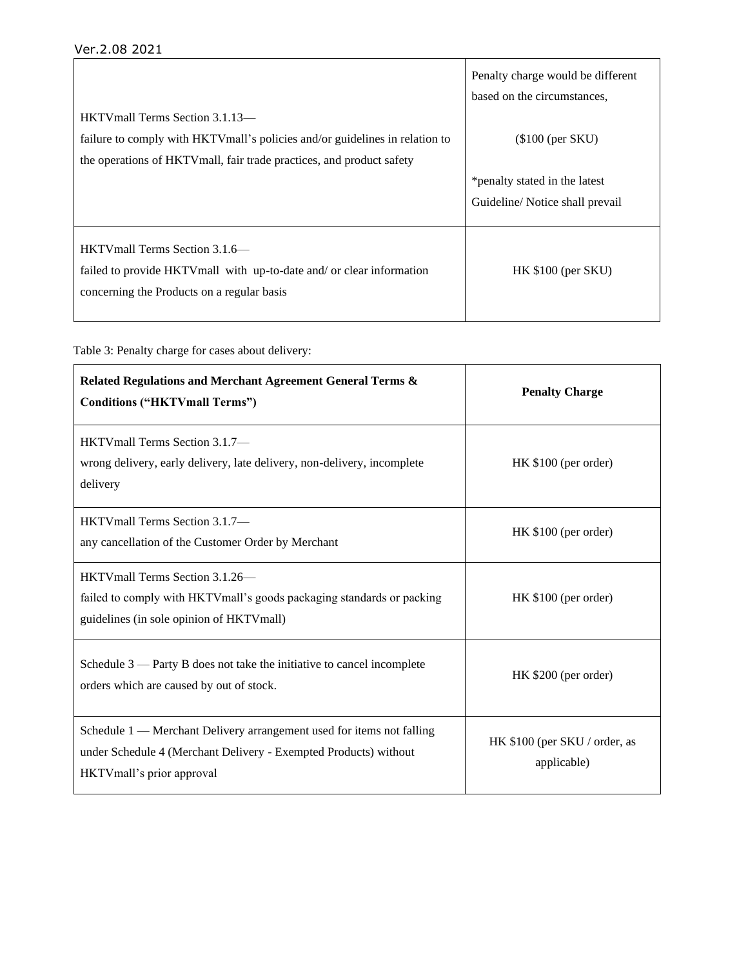|                                                                                                                                                      | Penalty charge would be different                               |
|------------------------------------------------------------------------------------------------------------------------------------------------------|-----------------------------------------------------------------|
| HKTVmall Terms Section 3.1.13-<br>failure to comply with HKTV mall's policies and/or guidelines in relation to                                       | based on the circumstances.<br>$$100$ (per SKU)                 |
| the operations of HKTV mall, fair trade practices, and product safety                                                                                | *penalty stated in the latest<br>Guideline/Notice shall prevail |
| HKTVmall Terms Section 3.1.6—<br>failed to provide HKTV mall with up-to-date and/ or clear information<br>concerning the Products on a regular basis | $HK $100$ (per SKU)                                             |

Table 3: Penalty charge for cases about delivery:

| Related Regulations and Merchant Agreement General Terms &<br><b>Conditions ("HKTVmall Terms")</b>                                                                     | <b>Penalty Charge</b>                        |
|------------------------------------------------------------------------------------------------------------------------------------------------------------------------|----------------------------------------------|
| HKTVmall Terms Section 3.1.7-<br>wrong delivery, early delivery, late delivery, non-delivery, incomplete<br>delivery                                                   | $HK $100$ (per order)                        |
| HKTVmall Terms Section 3.1.7-<br>any cancellation of the Customer Order by Merchant                                                                                    | $HK $100$ (per order)                        |
| HKTVmall Terms Section 3.1.26-<br>failed to comply with HKTVmall's goods packaging standards or packing<br>guidelines (in sole opinion of HKTVmall)                    | HK \$100 (per order)                         |
| Schedule $3$ — Party B does not take the initiative to cancel incomplete<br>orders which are caused by out of stock.                                                   | HK \$200 (per order)                         |
| Schedule 1 — Merchant Delivery arrangement used for items not falling<br>under Schedule 4 (Merchant Delivery - Exempted Products) without<br>HKTVmall's prior approval | HK \$100 (per SKU / order, as<br>applicable) |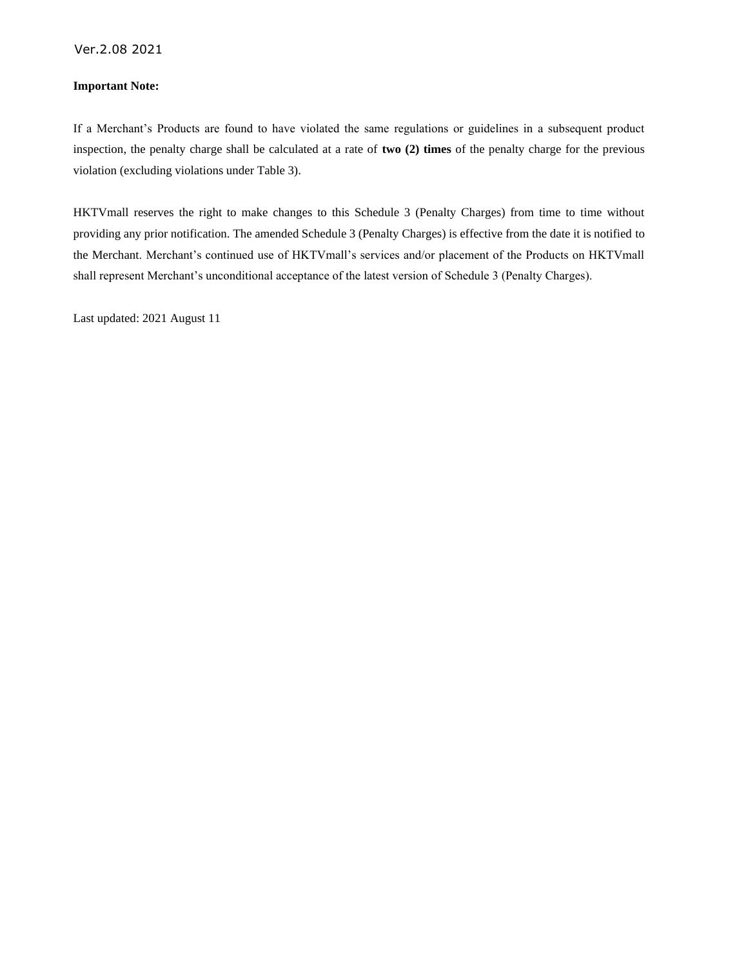#### **Important Note:**

If a Merchant's Products are found to have violated the same regulations or guidelines in a subsequent product inspection, the penalty charge shall be calculated at a rate of **two (2) times** of the penalty charge for the previous violation (excluding violations under Table 3).

HKTVmall reserves the right to make changes to this Schedule 3 (Penalty Charges) from time to time without providing any prior notification. The amended Schedule 3 (Penalty Charges) is effective from the date it is notified to the Merchant. Merchant's continued use of HKTVmall's services and/or placement of the Products on HKTVmall shall represent Merchant's unconditional acceptance of the latest version of Schedule 3 (Penalty Charges).

Last updated: 2021 August 11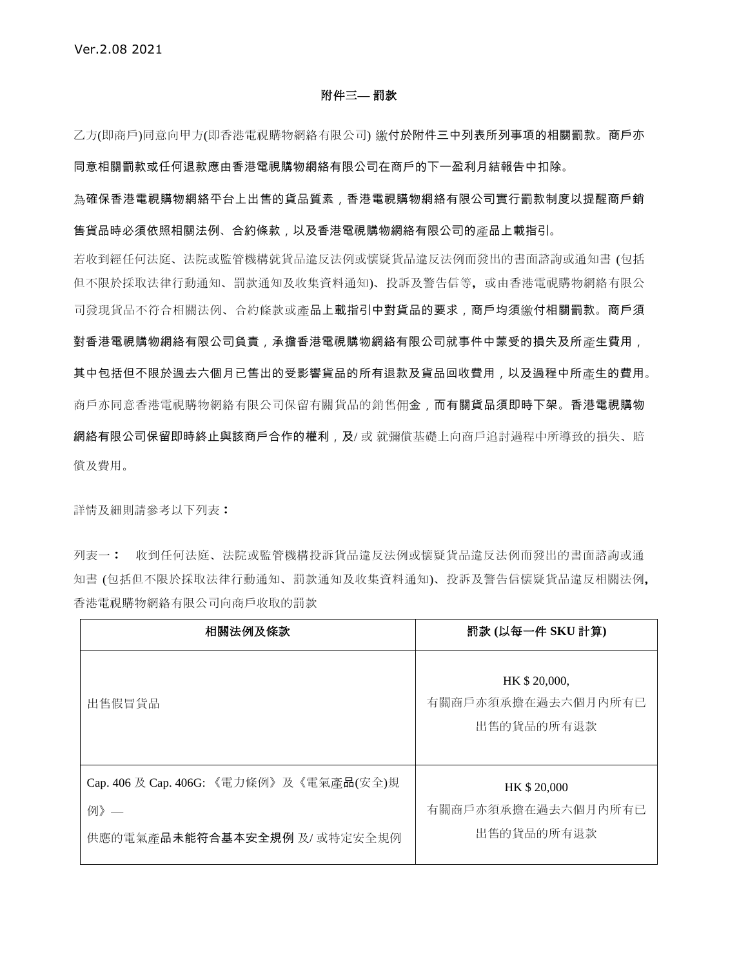#### 附件三**—** 罰款

乙方(即商戶)同意向甲方(即香港電視購物網絡有限公司) 繳付於附件三中列表所列事項的相關罰款。商戶亦 同意相關罰款或任何退款應由香港電視購物網絡有限公司在商戶的下一盈利月結報告中扣除。

為確保香港電視購物網絡平台上出售的貨品質素,香港電視購物網絡有限公司實行罰款制度以提醒商戶銷 售貨品時必須依照相關法例、合約條款,以及香港電視購物網絡有限公司的產品上載指引。

若收到經任何法庭、法院或監管機構就貨品違反法例或懷疑貨品違反法例而發出的書面諮詢或通知書 (包括 但不限於採取法律行動通知、罰款通知及收集資料通知)、投訴及警告信等,或由香港電視購物網絡有限公 司發現貨品不符合相關法例、合約條款或產品上載指引中對貨品的要求,商戶均須繳付相關罰款。商戶須

對香港電視購物網絡有限公司負責,承擔香港電視購物網絡有限公司就事件中蒙受的損失及所產生費用, 其中包括但不限於過去六個月已售出的受影響貨品的所有退款及貨品回收費用,以及過程中所產生的費用。 商戶亦同意香港電視購物網絡有限公司保留有關貨品的銷售佣金,而有關貨品須即時下架。香港電視購物 網絡有限公司保留即時終止與該商戶合作的權利,及/ 或 就彌償基礎上向商戶追討過程中所導致的損失、賠 償及費用。

詳情及細則請參考以下列表:

列表一: 收到任何法庭、法院或監管機構投訴貨品違反法例或懷疑貨品違反法例而發出的書面諮詢或通 知書 (包括但不限於採取法律行動通知、罰款通知及收集資料通知)、投訴及警告信懷疑貨品違反相關法例, 香港電視購物網絡有限公司向商戶收取的罰款

| 相關法例及條款                                 | 罰款 (以每一件 SKU 計算)                                  |
|-----------------------------------------|---------------------------------------------------|
| 出售假冒貨品                                  | HK \$ 20,000,<br>有關商戶亦須承擔在過去六個月內所有已<br>出售的貨品的所有退款 |
| Cap. 406 及 Cap. 406G: 《電力條例》及《電氣產品(安全)規 | HK \$20,000                                       |
| 例》—                                     | 有關商戶亦須承擔在過去六個月內所有已                                |
| 供應的電氣產品未能符合基本安全規例及/或特定安全規例              | 出售的貨品的所有退款                                        |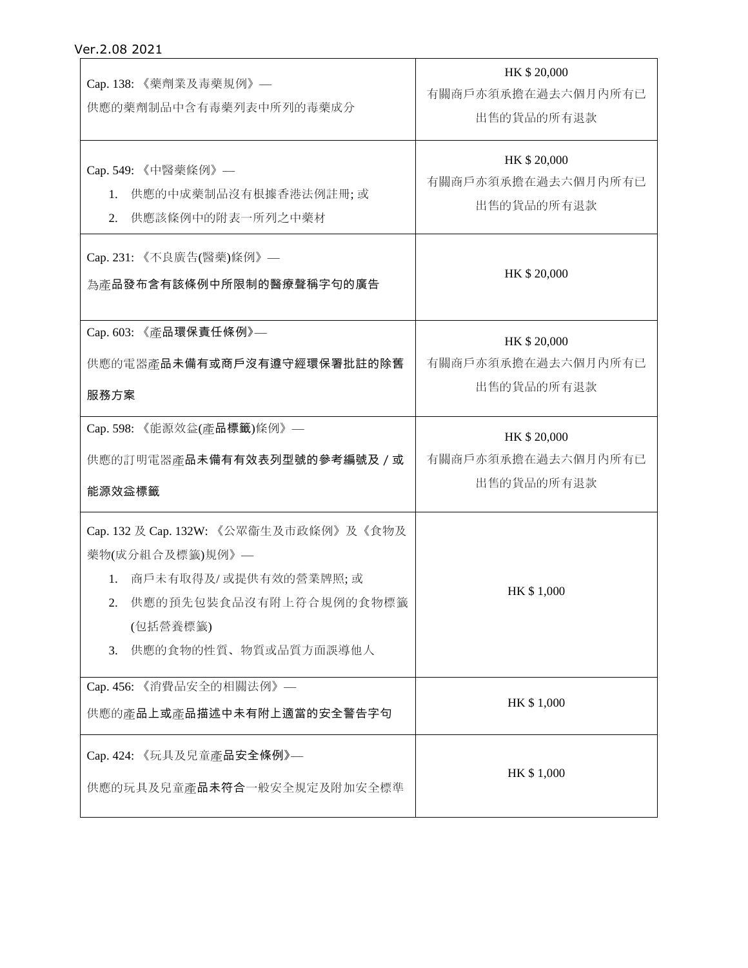| Cap. 138: 《藥劑業及毒藥規例》—<br>供應的藥劑制品中含有毒藥列表中所列的毒藥成分                                                                                                                    | HK \$20,000<br>有關商戶亦須承擔在過去六個月內所有已<br>出售的貨品的所有退款 |
|--------------------------------------------------------------------------------------------------------------------------------------------------------------------|-------------------------------------------------|
| Cap. 549: 《中醫藥條例》—<br>供應的中成藥制品沒有根據香港法例註冊;或<br>1.<br>供應該條例中的附表一所列之中藥材<br>2.                                                                                         | HK \$20,000<br>有關商戶亦須承擔在過去六個月內所有已<br>出售的貨品的所有退款 |
| Cap. 231: 《不良廣告(醫藥)條例》 —<br>為產品發布含有該條例中所限制的醫療聲稱字句的廣告                                                                                                               | HK \$20,000                                     |
| Cap. 603: 《產品環保責任條例》—<br>供應的電器產品未備有或商戶沒有遵守經環保署批註的除舊<br>服務方案                                                                                                        | HK \$20,000<br>有關商戶亦須承擔在過去六個月內所有已<br>出售的貨品的所有退款 |
| Cap. 598: 《能源效益(產品標籤)條例》 —<br>供應的訂明電器產品未備有有效表列型號的參考編號及 / 或<br>能源效益標籤                                                                                               | HK \$20,000<br>有關商戶亦須承擔在過去六個月內所有已<br>出售的貨品的所有退款 |
| Cap. 132 及 Cap. 132W: 《公眾衞生及市政條例》及《食物及<br>藥物(成分組合及標籤)規例》 —<br>商戶未有取得及/或提供有效的營業牌照;或<br>1.<br>供應的預先包裝食品沒有附上符合規例的食物標籤<br>2.<br>(包括營養標籤)<br>供應的食物的性質、物質或品質方面誤導他人<br>3. | HK \$1,000                                      |
| Cap. 456: 《消費品安全的相關法例》 --<br>供應的產品上或產品描述中未有附上適當的安全警告字句                                                                                                             | HK \$1,000                                      |
| Cap. 424: 《玩具及兒童產品安全條例》—<br>供應的玩具及兒童產品未符合一般安全規定及附加安全標準                                                                                                             | HK \$1,000                                      |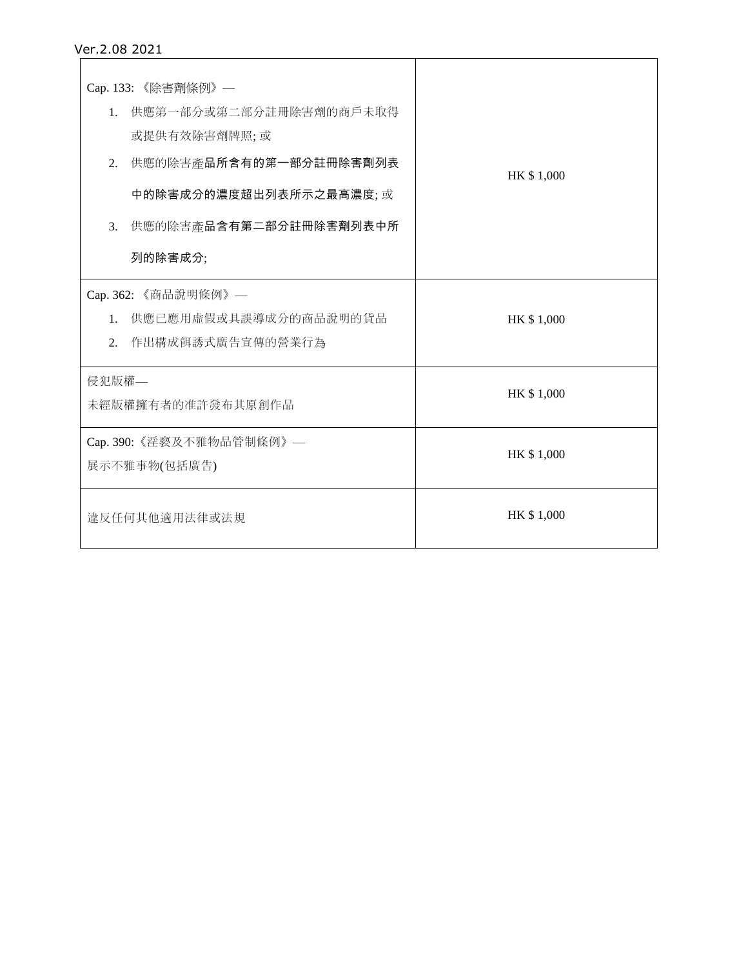|                           | Cap. 133: 《除害劑條例》 —    |            |
|---------------------------|------------------------|------------|
| $1_{-}$                   | 供應第一部分或第二部分註冊除害劑的商戶未取得 |            |
|                           | 或提供有效除害劑牌照;或           |            |
| 2.                        | 供應的除害產品所含有的第一部分註冊除害劑列表 | HK \$1,000 |
|                           | 中的除害成分的濃度超出列表所示之最高濃度;或 |            |
| 3.                        | 供應的除害產品含有第二部分註冊除害劑列表中所 |            |
|                           | 列的除害成分;                |            |
| Cap. 362: 《商品說明條例》 —      |                        |            |
| 1.                        | 供應已應用虛假或具誤導成分的商品說明的貨品  | HK \$1,000 |
| 2.                        | 作出構成餌誘式廣告宣傳的營業行為       |            |
| 侵犯版權—                     |                        |            |
| 未經版權擁有者的准許發布其原創作品         |                        | HK \$1,000 |
| Cap. 390: 《淫褻及不雅物品管制條例》 — |                        |            |
| 展示不雅事物(包括廣告)              |                        | HK \$1,000 |
| 違反任何其他適用法律或法規             |                        | HK \$1,000 |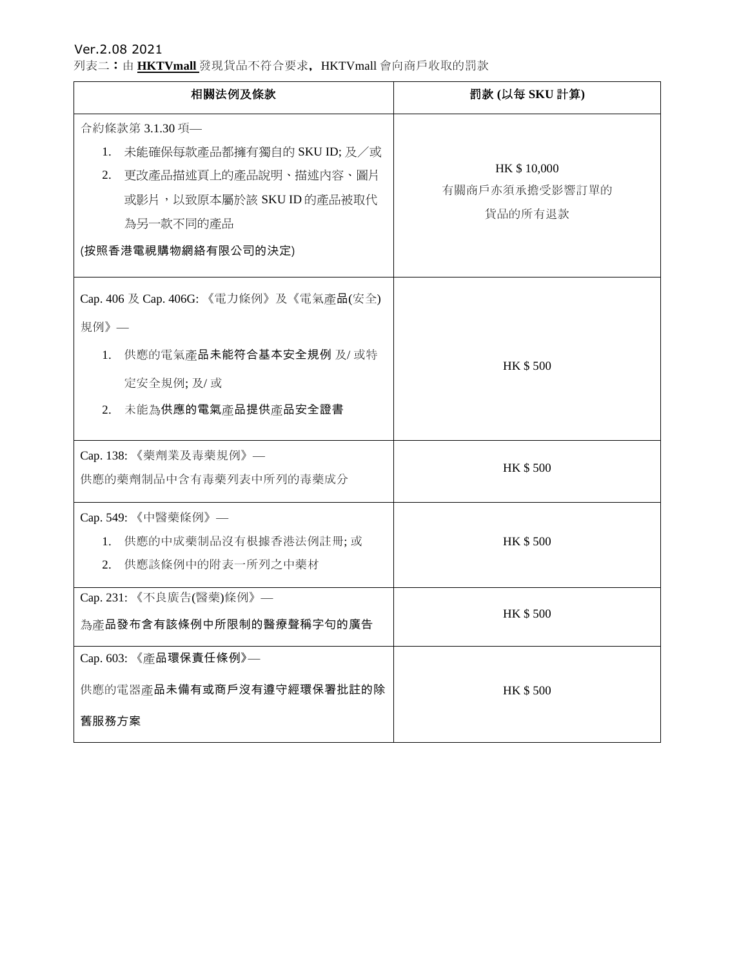列表二:由 HKTVmall 發現貨品不符合要求, HKTVmall 會向商戶收取的罰款

| 相關法例及條款                                                                                                                                             | 罰款 (以每 SKU 計算)                           |
|-----------------------------------------------------------------------------------------------------------------------------------------------------|------------------------------------------|
| 合約條款第 3.1.30 項—<br>未能確保每款產品都擁有獨自的 SKU ID; 及/或<br>1.<br>更改產品描述頁上的產品說明、描述內容、圖片<br>2.<br>或影片,以致原本屬於該 SKU ID 的產品被取代<br>為另一款不同的產品<br>(按照香港電視購物網絡有限公司的決定) | HK \$10,000<br>有關商戶亦須承擔受影響訂單的<br>貨品的所有退款 |
| Cap. 406 及 Cap. 406G: 《電力條例》及《電氣產品(安全)<br>規例》 —<br>供應的電氣產品未能符合基本安全規例及/或特<br>$1_{\cdot}$<br>定安全規例;及/或<br>未能為供應的電氣產品提供產品安全證書<br>2.                    | <b>HK \$500</b>                          |
| Cap. 138: 《藥劑業及毒藥規例》—<br>供應的藥劑制品中含有毒藥列表中所列的毒藥成分                                                                                                     | HK \$500                                 |
| Cap. 549: 《中醫藥條例》—<br>1. 供應的中成藥制品沒有根據香港法例註冊;或<br>供應該條例中的附表一所列之中藥材<br>2.                                                                             | HK \$500                                 |
| Cap. 231: 《不良廣告(醫藥)條例》 --<br>為產品發布含有該條例中所限制的醫療聲稱字句的廣告                                                                                               | HK \$500                                 |
| Cap. 603: 《產品環保責任條例》—<br>供應的電器產品未備有或商戶沒有遵守經環保署批註的除<br>舊服務方案                                                                                         | <b>HK \$500</b>                          |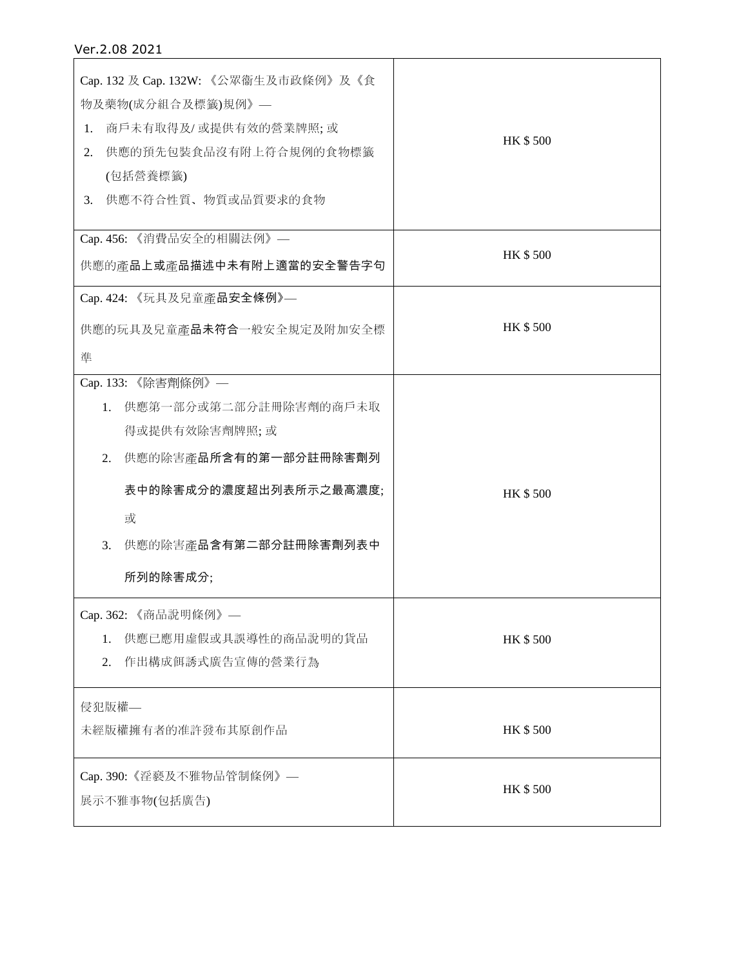| Cap. 132 及 Cap. 132W: 《公眾衞生及市政條例》及《食<br>物及藥物(成分組合及標籤)規例》—<br>商戶未有取得及/或提供有效的營業牌照;或<br>1.<br>供應的預先包裝食品沒有附上符合規例的食物標籤<br>2.<br>(包括營養標籤)<br>供應不符合性質、物質或品質要求的食物<br>3.                       | <b>HK \$500</b> |
|---------------------------------------------------------------------------------------------------------------------------------------------------------------------------------------|-----------------|
| Cap. 456: 《消費品安全的相關法例》 —<br>供應的產品上或產品描述中未有附上適當的安全警告字句                                                                                                                                 | <b>HK \$500</b> |
| Cap. 424: 《玩具及兒童產品安全條例》—<br>供應的玩具及兒童產品未符合一般安全規定及附加安全標<br>準                                                                                                                            | <b>HK \$500</b> |
| Cap. 133: 《除害劑條例》 —<br>供應第一部分或第二部分註冊除害劑的商戶未取<br>$1_{\cdot}$<br>得或提供有效除害劑牌照;或<br>供應的除害產品所含有的第一部分註冊除害劑列<br>2.<br>表中的除害成分的濃度超出列表所示之最高濃度;<br>或<br>供應的除害產品含有第二部分註冊除害劑列表中<br>3.<br>所列的除害成分; | <b>HK \$500</b> |
| Cap. 362: 《商品說明條例》 --<br>供應已應用虛假或具誤導性的商品說明的貨品<br>1.<br>作出構成餌誘式廣告宣傳的營業行為<br>2.                                                                                                         | HK \$500        |
| 侵犯版權—<br>未經版權擁有者的准許發布其原創作品                                                                                                                                                            | HK \$500        |
| Cap. 390:《淫褻及不雅物品管制條例》—<br>展示不雅事物(包括廣告)                                                                                                                                               | HK \$500        |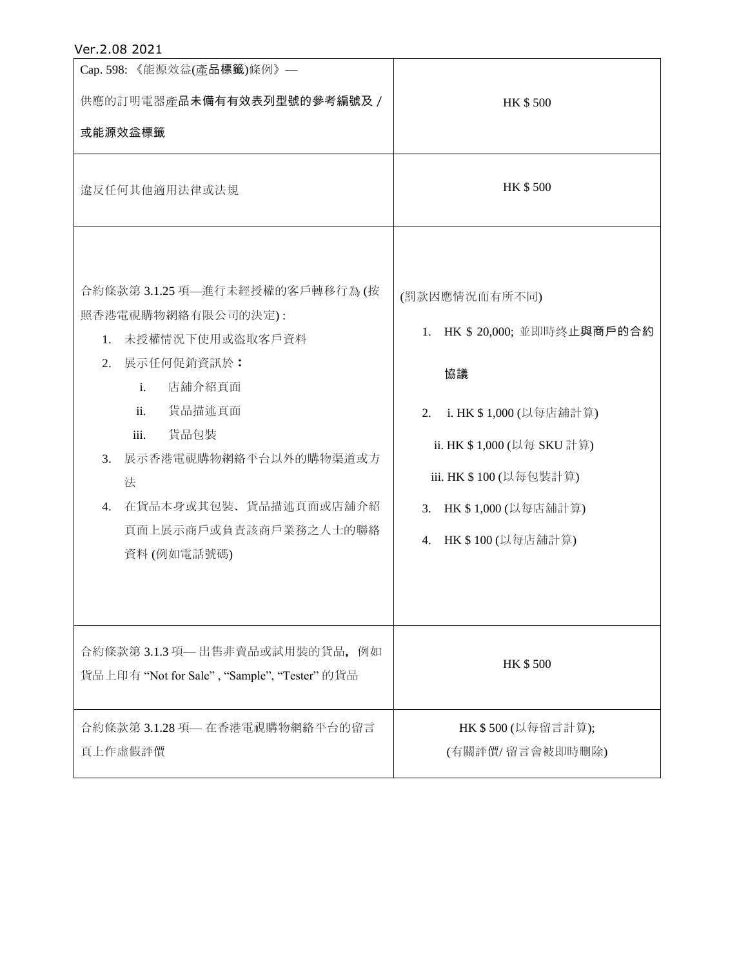| Cap. 598: 《能源效益(產品標籤)條例》 -<br>供應的訂明電器產品未備有有效表列型號的參考編號及 /<br>或能源效益標籤                                                                                                                                                                                                       | <b>HK \$500</b>                                                                                                                                                                                         |
|---------------------------------------------------------------------------------------------------------------------------------------------------------------------------------------------------------------------------------------------------------------------------|---------------------------------------------------------------------------------------------------------------------------------------------------------------------------------------------------------|
| 違反任何其他適用法律或法規                                                                                                                                                                                                                                                             | <b>HK \$500</b>                                                                                                                                                                                         |
| 合約條款第 3.1.25 項—進行未經授權的客戶轉移行為(按<br>照香港電視購物網絡有限公司的決定):<br>未授權情況下使用或盜取客戶資料<br>1.<br>展示任何促銷資訊於:<br>2.<br>店舖介紹頁面<br>$\mathbf{i}$ .<br>貨品描述頁面<br>ii.<br>貨品包裝<br>iii.<br>展示香港電視購物網絡平台以外的購物渠道或方<br>3.<br>法<br>在貨品本身或其包裝、貨品描述頁面或店舖介紹<br>4.<br>頁面上展示商戶或負責該商戶業務之人士的聯絡<br>資料 (例如電話號碼) | (罰款因應情況而有所不同)<br>1. HK \$ 20,000; 並即時终止與商戶的合約<br>協議<br>i. HK \$ 1,000 (以每店舖計算)<br>2.<br>ii. HK \$ 1,000 (以每 SKU 計算)<br>iii. HK \$ 100 (以每包裝計算)<br>HK \$1,000 (以每店舖計算)<br>3.<br>HK \$ 100 (以每店舖計算)<br>4. |
| 合約條款第 3.1.3 項— 出售非賣品或試用裝的貨品, 例如<br>貨品上印有 "Not for Sale", "Sample", "Tester" 的貨品                                                                                                                                                                                           | <b>HK \$500</b>                                                                                                                                                                                         |
| 合約條款第 3.1.28 項— 在香港電視購物網絡平台的留言<br>頁上作虛假評價                                                                                                                                                                                                                                 | HK \$500 (以每留言計算);<br>(有關評價/留言會被即時刪除)                                                                                                                                                                   |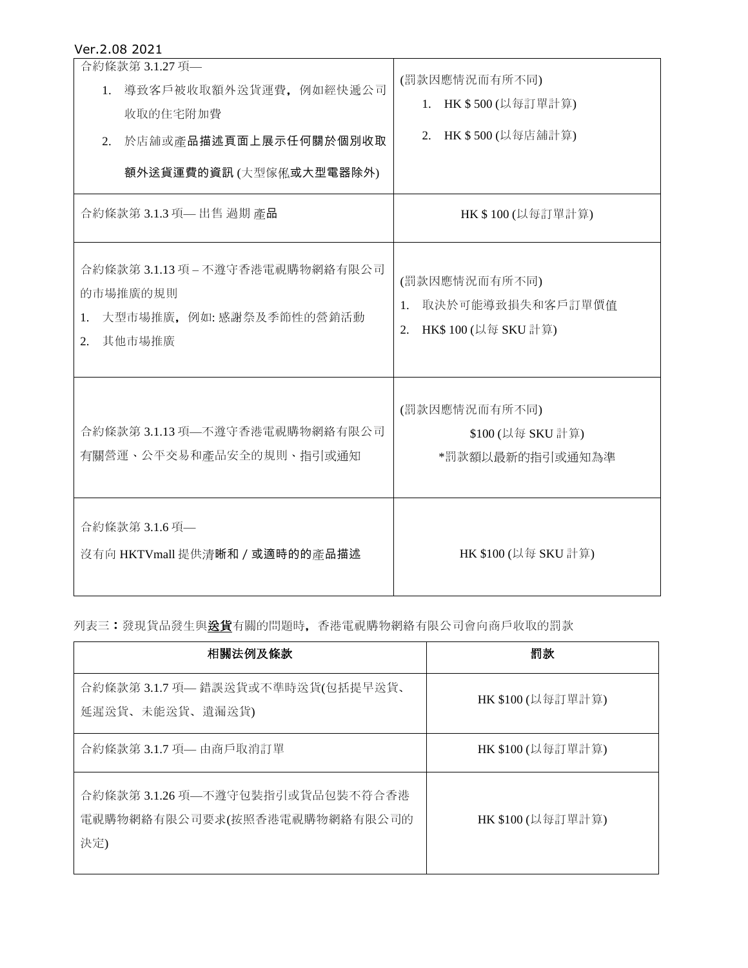| 合約條款第 3.1.27 項–<br>導致客戶被收取額外送貨運費, 例如經快遞公司<br>1.<br>收取的住宅附加費<br>於店舖或產品描述頁面上展示任何關於個別收取<br>2.<br>額外送貨運費的資訊 (大型傢俬或大型電器除外)<br>合約條款第3.1.3 項—出售 過期產品 | (罰款因應情況而有所不同)<br>1. HK \$500 (以每訂單計算)<br>2. HK \$500 (以每店舖計算)<br>HK \$100 (以每訂單計算) |
|-----------------------------------------------------------------------------------------------------------------------------------------------|------------------------------------------------------------------------------------|
| 合約條款第3.1.13 項 - 不遵守香港電視購物網絡有限公司<br>的市場推廣的規則<br>大型市場推廣, 例如: 感謝祭及季節性的營銷活動<br>1.<br>其他市場推廣<br>2.                                                 | (罰款因應情況而有所不同)<br>取決於可能導致損失和客戶訂單價值<br>1.<br>HK\$ 100 (以每 SKU 計算)<br>2.              |
| 合約條款第3.1.13 項—不遵守香港電視購物網絡有限公司<br>有關營運、公平交易和產品安全的規則、指引或通知                                                                                      | (罰款因應情況而有所不同)<br>\$100 (以每 SKU 計算)<br>*罰款額以最新的指引或通知為準                              |
| 合約條款第 3.1.6 項––<br>沒有向 HKTVmall 提供清晰和 / 或適時的的產品描述                                                                                             | HK \$100 (以每 SKU 計算)                                                               |

列表三:發現貨品發生與送貨有關的問題時,香港電視購物網絡有限公司會向商戶收取的罰款

| 相關法例及條款                                                                 | 罰款                |
|-------------------------------------------------------------------------|-------------------|
| 合約條款第3.1.7 項— 錯誤送貨或不準時送貨(包括提早送貨、<br>延遲送貨、未能送貨、遺漏送貨)                     | HK \$100 (以每訂單計算) |
| 合約條款第 3.1.7 項— 由商戶取消訂單                                                  | HK \$100 (以每訂單計算) |
| 合約條款第 3.1.26 項—不遵守包裝指引或貨品包裝不符合香港<br>電視購物網絡有限公司要求(按照香港電視購物網絡有限公司的<br>決定) | HK \$100 (以每訂單計算) |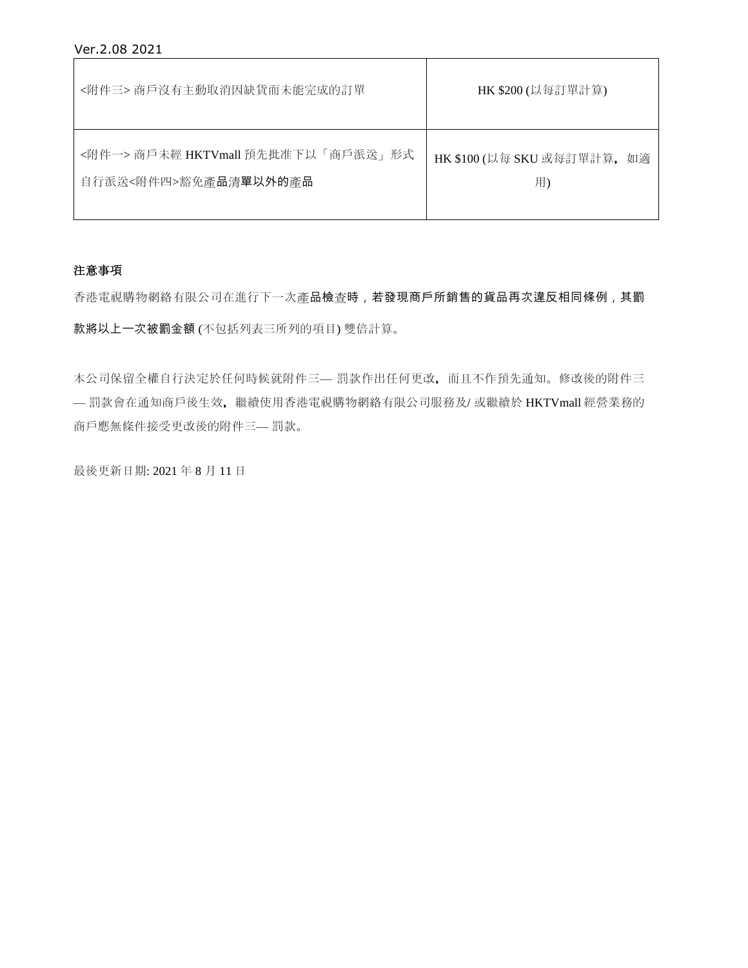| <附件三>商戶沒有主動取消因缺貨而未能完成的訂單          | HK \$200 (以每訂單計算)           |
|-----------------------------------|-----------------------------|
| <附件一>商戶未經 HKTVmall 預先批准下以「商戶派送」形式 | HK \$100 (以每 SKU 或每訂單計算, 如適 |
| 自行派送<附件四>豁免產品清單以外的產品              | 用)                          |

# 注意事項

香港電視購物網絡有限公司在進行下一次產品檢查時,若發現商戶所銷售的貨品再次違反相同條例,其罰 款將以上一次被罰金額 (不包括列表三所列的項目) 雙倍計算。

本公司保留全權自行決定於任何時候就附件三— 罰款作出任何更改,而且不作預先通知。修改後的附件三 — 罰款會在通知商戶後生效,繼續使用香港電視購物網絡有限公司服務及/ 或繼續於 HKTVmall 經營業務的 商戶應無條件接受更改後的附件三— 罰款。

最後更新日期: 2021 年 8 月 11 日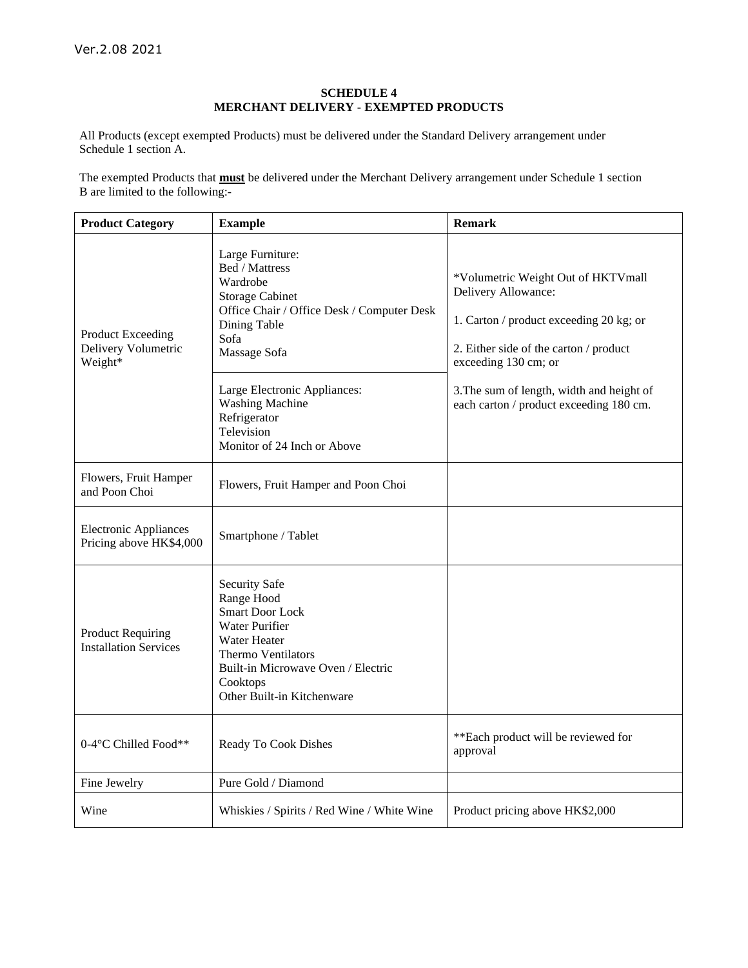#### **SCHEDULE 4 MERCHANT DELIVERY - EXEMPTED PRODUCTS**

All Products (except exempted Products) must be delivered under the Standard Delivery arrangement under Schedule 1 section A.

The exempted Products that **must** be delivered under the Merchant Delivery arrangement under Schedule 1 section B are limited to the following:-

| <b>Product Category</b>                                    | <b>Example</b>                                                                                                                                                                                       | <b>Remark</b>                                                                                                                                                          |
|------------------------------------------------------------|------------------------------------------------------------------------------------------------------------------------------------------------------------------------------------------------------|------------------------------------------------------------------------------------------------------------------------------------------------------------------------|
| <b>Product Exceeding</b><br>Delivery Volumetric<br>Weight* | Large Furniture:<br>Bed / Mattress<br>Wardrobe<br><b>Storage Cabinet</b><br>Office Chair / Office Desk / Computer Desk<br>Dining Table<br>Sofa<br>Massage Sofa                                       | *Volumetric Weight Out of HKTVmall<br>Delivery Allowance:<br>1. Carton / product exceeding 20 kg; or<br>2. Either side of the carton / product<br>exceeding 130 cm; or |
|                                                            | Large Electronic Appliances:<br><b>Washing Machine</b><br>Refrigerator<br>Television<br>Monitor of 24 Inch or Above                                                                                  | 3. The sum of length, width and height of<br>each carton / product exceeding 180 cm.                                                                                   |
| Flowers, Fruit Hamper<br>and Poon Choi                     | Flowers, Fruit Hamper and Poon Choi                                                                                                                                                                  |                                                                                                                                                                        |
| <b>Electronic Appliances</b><br>Pricing above HK\$4,000    | Smartphone / Tablet                                                                                                                                                                                  |                                                                                                                                                                        |
| <b>Product Requiring</b><br><b>Installation Services</b>   | Security Safe<br>Range Hood<br><b>Smart Door Lock</b><br>Water Purifier<br>Water Heater<br><b>Thermo Ventilators</b><br>Built-in Microwave Oven / Electric<br>Cooktops<br>Other Built-in Kitchenware |                                                                                                                                                                        |
| 0-4°C Chilled Food**                                       | Ready To Cook Dishes                                                                                                                                                                                 | ** Each product will be reviewed for<br>approval                                                                                                                       |
| Fine Jewelry                                               | Pure Gold / Diamond                                                                                                                                                                                  |                                                                                                                                                                        |
| Wine                                                       | Whiskies / Spirits / Red Wine / White Wine                                                                                                                                                           | Product pricing above HK\$2,000                                                                                                                                        |